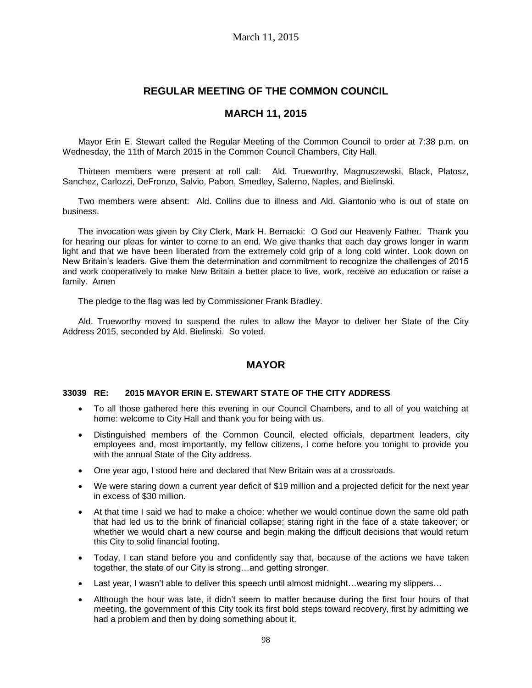# **REGULAR MEETING OF THE COMMON COUNCIL**

# **MARCH 11, 2015**

Mayor Erin E. Stewart called the Regular Meeting of the Common Council to order at 7:38 p.m. on Wednesday, the 11th of March 2015 in the Common Council Chambers, City Hall.

Thirteen members were present at roll call: Ald. Trueworthy, Magnuszewski, Black, Platosz, Sanchez, Carlozzi, DeFronzo, Salvio, Pabon, Smedley, Salerno, Naples, and Bielinski.

Two members were absent: Ald. Collins due to illness and Ald. Giantonio who is out of state on business.

The invocation was given by City Clerk, Mark H. Bernacki: O God our Heavenly Father. Thank you for hearing our pleas for winter to come to an end. We give thanks that each day grows longer in warm light and that we have been liberated from the extremely cold grip of a long cold winter. Look down on New Britain's leaders. Give them the determination and commitment to recognize the challenges of 2015 and work cooperatively to make New Britain a better place to live, work, receive an education or raise a family. Amen

The pledge to the flag was led by Commissioner Frank Bradley.

Ald. Trueworthy moved to suspend the rules to allow the Mayor to deliver her State of the City Address 2015, seconded by Ald. Bielinski. So voted.

# **MAYOR**

#### **33039 RE: 2015 MAYOR ERIN E. STEWART STATE OF THE CITY ADDRESS**

- To all those gathered here this evening in our Council Chambers, and to all of you watching at home: welcome to City Hall and thank you for being with us.
- Distinguished members of the Common Council, elected officials, department leaders, city employees and, most importantly, my fellow citizens, I come before you tonight to provide you with the annual State of the City address.
- One year ago, I stood here and declared that New Britain was at a crossroads.
- We were staring down a current year deficit of \$19 million and a projected deficit for the next year in excess of \$30 million.
- At that time I said we had to make a choice: whether we would continue down the same old path that had led us to the brink of financial collapse; staring right in the face of a state takeover; or whether we would chart a new course and begin making the difficult decisions that would return this City to solid financial footing.
- Today, I can stand before you and confidently say that, because of the actions we have taken together, the state of our City is strong…and getting stronger.
- Last year, I wasn't able to deliver this speech until almost midnight...wearing my slippers...
- Although the hour was late, it didn't seem to matter because during the first four hours of that meeting, the government of this City took its first bold steps toward recovery, first by admitting we had a problem and then by doing something about it.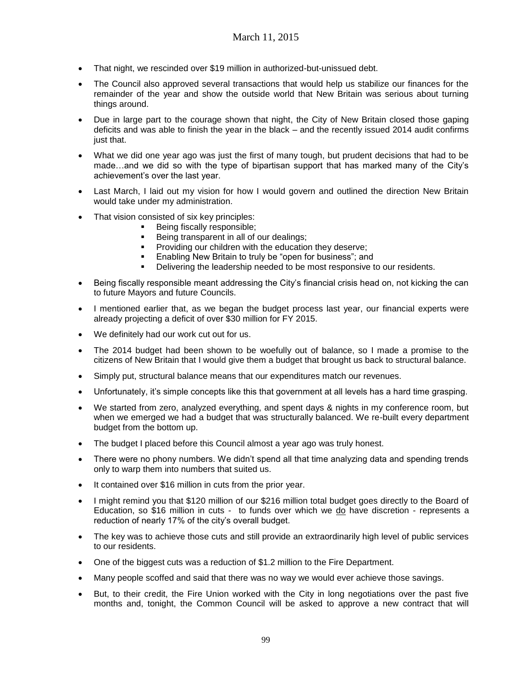- That night, we rescinded over \$19 million in authorized-but-unissued debt.
- The Council also approved several transactions that would help us stabilize our finances for the remainder of the year and show the outside world that New Britain was serious about turning things around.
- Due in large part to the courage shown that night, the City of New Britain closed those gaping deficits and was able to finish the year in the black – and the recently issued 2014 audit confirms just that.
- What we did one year ago was just the first of many tough, but prudent decisions that had to be made…and we did so with the type of bipartisan support that has marked many of the City's achievement's over the last year.
- Last March, I laid out my vision for how I would govern and outlined the direction New Britain would take under my administration.
- That vision consisted of six key principles:
	- Being fiscally responsible;
	- Being transparent in all of our dealings;
	- Providing our children with the education they deserve;
	- Enabling New Britain to truly be "open for business"; and
	- Delivering the leadership needed to be most responsive to our residents.
- Being fiscally responsible meant addressing the City's financial crisis head on, not kicking the can to future Mayors and future Councils.
- I mentioned earlier that, as we began the budget process last year, our financial experts were already projecting a deficit of over \$30 million for FY 2015.
- We definitely had our work cut out for us.
- The 2014 budget had been shown to be woefully out of balance, so I made a promise to the citizens of New Britain that I would give them a budget that brought us back to structural balance.
- Simply put, structural balance means that our expenditures match our revenues.
- Unfortunately, it's simple concepts like this that government at all levels has a hard time grasping.
- We started from zero, analyzed everything, and spent days & nights in my conference room, but when we emerged we had a budget that was structurally balanced. We re-built every department budget from the bottom up.
- The budget I placed before this Council almost a year ago was truly honest.
- There were no phony numbers. We didn't spend all that time analyzing data and spending trends only to warp them into numbers that suited us.
- It contained over \$16 million in cuts from the prior year.
- I might remind you that \$120 million of our \$216 million total budget goes directly to the Board of Education, so \$16 million in cuts - to funds over which we  $d\rho$  have discretion - represents a reduction of nearly 17% of the city's overall budget.
- The key was to achieve those cuts and still provide an extraordinarily high level of public services to our residents.
- One of the biggest cuts was a reduction of \$1.2 million to the Fire Department.
- Many people scoffed and said that there was no way we would ever achieve those savings.
- But, to their credit, the Fire Union worked with the City in long negotiations over the past five months and, tonight, the Common Council will be asked to approve a new contract that will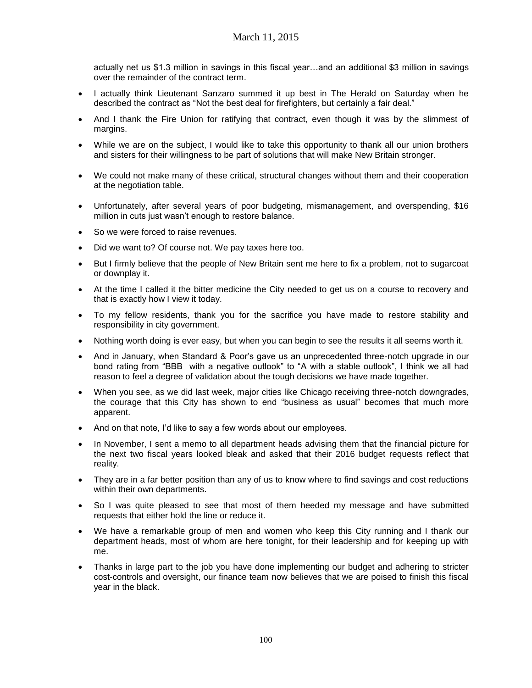actually net us \$1.3 million in savings in this fiscal year…and an additional \$3 million in savings over the remainder of the contract term.

- I actually think Lieutenant Sanzaro summed it up best in The Herald on Saturday when he described the contract as "Not the best deal for firefighters, but certainly a fair deal."
- And I thank the Fire Union for ratifying that contract, even though it was by the slimmest of margins.
- While we are on the subject, I would like to take this opportunity to thank all our union brothers and sisters for their willingness to be part of solutions that will make New Britain stronger.
- We could not make many of these critical, structural changes without them and their cooperation at the negotiation table.
- Unfortunately, after several years of poor budgeting, mismanagement, and overspending, \$16 million in cuts just wasn't enough to restore balance.
- So we were forced to raise revenues.
- Did we want to? Of course not. We pay taxes here too.
- But I firmly believe that the people of New Britain sent me here to fix a problem, not to sugarcoat or downplay it.
- At the time I called it the bitter medicine the City needed to get us on a course to recovery and that is exactly how I view it today.
- To my fellow residents, thank you for the sacrifice you have made to restore stability and responsibility in city government.
- Nothing worth doing is ever easy, but when you can begin to see the results it all seems worth it.
- And in January, when Standard & Poor's gave us an unprecedented three-notch upgrade in our bond rating from "BBB with a negative outlook" to "A with a stable outlook", I think we all had reason to feel a degree of validation about the tough decisions we have made together.
- When you see, as we did last week, major cities like Chicago receiving three-notch downgrades, the courage that this City has shown to end "business as usual" becomes that much more apparent.
- And on that note, I'd like to say a few words about our employees.
- In November, I sent a memo to all department heads advising them that the financial picture for the next two fiscal years looked bleak and asked that their 2016 budget requests reflect that reality.
- They are in a far better position than any of us to know where to find savings and cost reductions within their own departments.
- So I was quite pleased to see that most of them heeded my message and have submitted requests that either hold the line or reduce it.
- We have a remarkable group of men and women who keep this City running and I thank our department heads, most of whom are here tonight, for their leadership and for keeping up with me.
- Thanks in large part to the job you have done implementing our budget and adhering to stricter cost-controls and oversight, our finance team now believes that we are poised to finish this fiscal year in the black.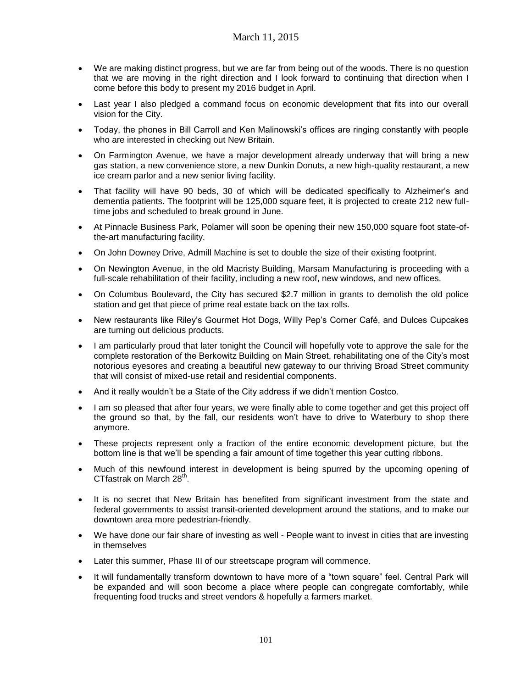- We are making distinct progress, but we are far from being out of the woods. There is no question that we are moving in the right direction and I look forward to continuing that direction when I come before this body to present my 2016 budget in April.
- Last year I also pledged a command focus on economic development that fits into our overall vision for the City.
- Today, the phones in Bill Carroll and Ken Malinowski's offices are ringing constantly with people who are interested in checking out New Britain.
- On Farmington Avenue, we have a major development already underway that will bring a new gas station, a new convenience store, a new Dunkin Donuts, a new high-quality restaurant, a new ice cream parlor and a new senior living facility.
- That facility will have 90 beds, 30 of which will be dedicated specifically to Alzheimer's and dementia patients. The footprint will be 125,000 square feet, it is projected to create 212 new fulltime jobs and scheduled to break ground in June.
- At Pinnacle Business Park, Polamer will soon be opening their new 150,000 square foot state-ofthe-art manufacturing facility.
- On John Downey Drive, Admill Machine is set to double the size of their existing footprint.
- On Newington Avenue, in the old Macristy Building, Marsam Manufacturing is proceeding with a full-scale rehabilitation of their facility, including a new roof, new windows, and new offices.
- On Columbus Boulevard, the City has secured \$2.7 million in grants to demolish the old police station and get that piece of prime real estate back on the tax rolls.
- New restaurants like Riley's Gourmet Hot Dogs, Willy Pep's Corner Café, and Dulces Cupcakes are turning out delicious products.
- I am particularly proud that later tonight the Council will hopefully vote to approve the sale for the complete restoration of the Berkowitz Building on Main Street, rehabilitating one of the City's most notorious eyesores and creating a beautiful new gateway to our thriving Broad Street community that will consist of mixed-use retail and residential components.
- And it really wouldn't be a State of the City address if we didn't mention Costco.
- I am so pleased that after four years, we were finally able to come together and get this project off the ground so that, by the fall, our residents won't have to drive to Waterbury to shop there anymore.
- These projects represent only a fraction of the entire economic development picture, but the bottom line is that we'll be spending a fair amount of time together this year cutting ribbons.
- Much of this newfound interest in development is being spurred by the upcoming opening of CTfastrak on March 28<sup>th</sup>.
- It is no secret that New Britain has benefited from significant investment from the state and federal governments to assist transit-oriented development around the stations, and to make our downtown area more pedestrian-friendly.
- We have done our fair share of investing as well People want to invest in cities that are investing in themselves
- Later this summer, Phase III of our streetscape program will commence.
- It will fundamentally transform downtown to have more of a "town square" feel. Central Park will be expanded and will soon become a place where people can congregate comfortably, while frequenting food trucks and street vendors & hopefully a farmers market.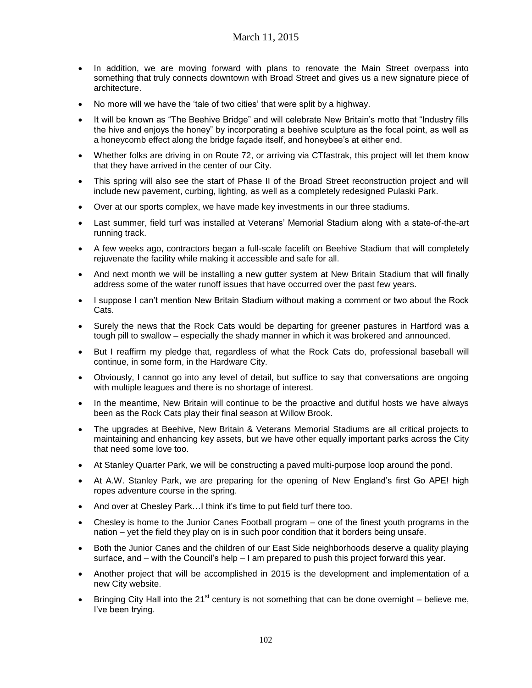- In addition, we are moving forward with plans to renovate the Main Street overpass into something that truly connects downtown with Broad Street and gives us a new signature piece of architecture.
- No more will we have the 'tale of two cities' that were split by a highway.
- It will be known as "The Beehive Bridge" and will celebrate New Britain's motto that "Industry fills the hive and enjoys the honey" by incorporating a beehive sculpture as the focal point, as well as a honeycomb effect along the bridge façade itself, and honeybee's at either end.
- Whether folks are driving in on Route 72, or arriving via CTfastrak, this project will let them know that they have arrived in the center of our City.
- This spring will also see the start of Phase II of the Broad Street reconstruction project and will include new pavement, curbing, lighting, as well as a completely redesigned Pulaski Park.
- Over at our sports complex, we have made key investments in our three stadiums.
- Last summer, field turf was installed at Veterans' Memorial Stadium along with a state-of-the-art running track.
- A few weeks ago, contractors began a full-scale facelift on Beehive Stadium that will completely rejuvenate the facility while making it accessible and safe for all.
- And next month we will be installing a new gutter system at New Britain Stadium that will finally address some of the water runoff issues that have occurred over the past few years.
- I suppose I can't mention New Britain Stadium without making a comment or two about the Rock Cats.
- Surely the news that the Rock Cats would be departing for greener pastures in Hartford was a tough pill to swallow – especially the shady manner in which it was brokered and announced.
- But I reaffirm my pledge that, regardless of what the Rock Cats do, professional baseball will continue, in some form, in the Hardware City.
- Obviously, I cannot go into any level of detail, but suffice to say that conversations are ongoing with multiple leagues and there is no shortage of interest.
- In the meantime, New Britain will continue to be the proactive and dutiful hosts we have always been as the Rock Cats play their final season at Willow Brook.
- The upgrades at Beehive, New Britain & Veterans Memorial Stadiums are all critical projects to maintaining and enhancing key assets, but we have other equally important parks across the City that need some love too.
- At Stanley Quarter Park, we will be constructing a paved multi-purpose loop around the pond.
- At A.W. Stanley Park, we are preparing for the opening of New England's first Go APE! high ropes adventure course in the spring.
- And over at Chesley Park…I think it's time to put field turf there too.
- Chesley is home to the Junior Canes Football program one of the finest youth programs in the nation – yet the field they play on is in such poor condition that it borders being unsafe.
- Both the Junior Canes and the children of our East Side neighborhoods deserve a quality playing surface, and – with the Council's help – I am prepared to push this project forward this year.
- Another project that will be accomplished in 2015 is the development and implementation of a new City website.
- Bringing City Hall into the 21<sup>st</sup> century is not something that can be done overnight believe me, I've been trying.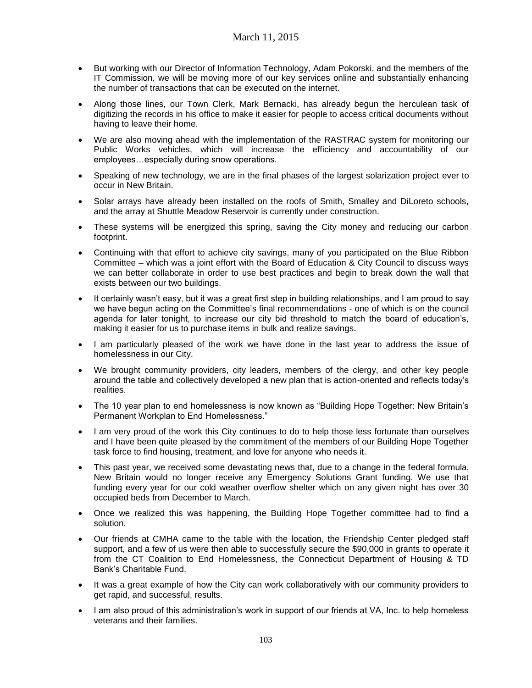- But working with our Director of Information Technology, Adam Pokorski, and the members of the IT Commission, we will be moving more of our key services online and substantially enhancing the number of transactions that can be executed on the internet.
- Along those lines, our Town Clerk, Mark Bernacki, has already begun the herculean task of digitizing the records in his office to make it easier for people to access critical documents without having to leave their home.
- We are also moving ahead with the implementation of the RASTRAC system for monitoring our Public Works vehicles, which will increase the efficiency and accountability of our employees…especially during snow operations.
- Speaking of new technology, we are in the final phases of the largest solarization project ever to occur in New Britain.
- Solar arrays have already been installed on the roofs of Smith, Smalley and DiLoreto schools, and the array at Shuttle Meadow Reservoir is currently under construction.
- These systems will be energized this spring, saving the City money and reducing our carbon footprint.
- Continuing with that effort to achieve city savings, many of you participated on the Blue Ribbon Committee – which was a joint effort with the Board of Education & City Council to discuss ways we can better collaborate in order to use best practices and begin to break down the wall that exists between our two buildings.
- It certainly wasn't easy, but it was a great first step in building relationships, and I am proud to say we have begun acting on the Committee's final recommendations - one of which is on the council agenda for later tonight, to increase our city bid threshold to match the board of education's, making it easier for us to purchase items in bulk and realize savings.
- I am particularly pleased of the work we have done in the last year to address the issue of homelessness in our City.
- We brought community providers, city leaders, members of the clergy, and other key people around the table and collectively developed a new plan that is action-oriented and reflects today's realities.
- The 10 year plan to end homelessness is now known as "Building Hope Together: New Britain's Permanent Workplan to End Homelessness."
- I am very proud of the work this City continues to do to help those less fortunate than ourselves and I have been quite pleased by the commitment of the members of our Building Hope Together task force to find housing, treatment, and love for anyone who needs it.
- This past year, we received some devastating news that, due to a change in the federal formula, New Britain would no longer receive any Emergency Solutions Grant funding. We use that funding every year for our cold weather overflow shelter which on any given night has over 30 occupied beds from December to March.
- Once we realized this was happening, the Building Hope Together committee had to find a solution.
- Our friends at CMHA came to the table with the location, the Friendship Center pledged staff support, and a few of us were then able to successfully secure the \$90,000 in grants to operate it from the CT Coalition to End Homelessness, the Connecticut Department of Housing & TD Bank's Charitable Fund.
- It was a great example of how the City can work collaboratively with our community providers to get rapid, and successful, results.
- I am also proud of this administration's work in support of our friends at VA, Inc. to help homeless veterans and their families.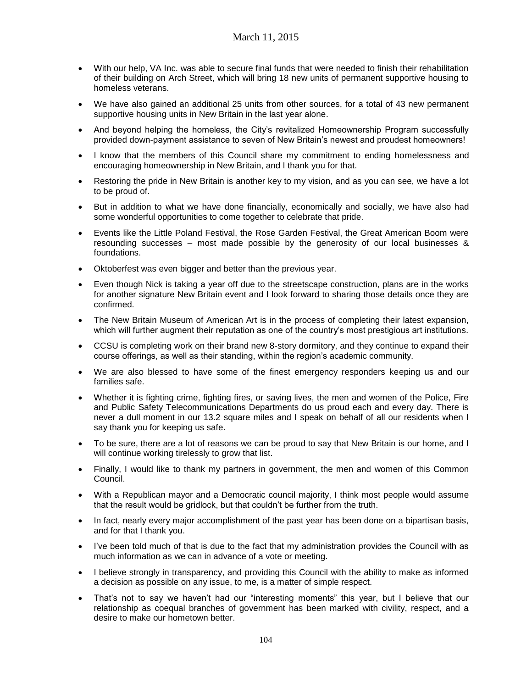- With our help, VA Inc. was able to secure final funds that were needed to finish their rehabilitation of their building on Arch Street, which will bring 18 new units of permanent supportive housing to homeless veterans.
- We have also gained an additional 25 units from other sources, for a total of 43 new permanent supportive housing units in New Britain in the last year alone.
- And beyond helping the homeless, the City's revitalized Homeownership Program successfully provided down-payment assistance to seven of New Britain's newest and proudest homeowners!
- I know that the members of this Council share my commitment to ending homelessness and encouraging homeownership in New Britain, and I thank you for that.
- Restoring the pride in New Britain is another key to my vision, and as you can see, we have a lot to be proud of.
- But in addition to what we have done financially, economically and socially, we have also had some wonderful opportunities to come together to celebrate that pride.
- Events like the Little Poland Festival, the Rose Garden Festival, the Great American Boom were resounding successes – most made possible by the generosity of our local businesses & foundations.
- Oktoberfest was even bigger and better than the previous year.
- Even though Nick is taking a year off due to the streetscape construction, plans are in the works for another signature New Britain event and I look forward to sharing those details once they are confirmed.
- The New Britain Museum of American Art is in the process of completing their latest expansion, which will further augment their reputation as one of the country's most prestigious art institutions.
- CCSU is completing work on their brand new 8-story dormitory, and they continue to expand their course offerings, as well as their standing, within the region's academic community.
- We are also blessed to have some of the finest emergency responders keeping us and our families safe.
- Whether it is fighting crime, fighting fires, or saving lives, the men and women of the Police, Fire and Public Safety Telecommunications Departments do us proud each and every day. There is never a dull moment in our 13.2 square miles and I speak on behalf of all our residents when I say thank you for keeping us safe.
- To be sure, there are a lot of reasons we can be proud to say that New Britain is our home, and I will continue working tirelessly to grow that list.
- Finally, I would like to thank my partners in government, the men and women of this Common Council.
- With a Republican mayor and a Democratic council majority, I think most people would assume that the result would be gridlock, but that couldn't be further from the truth.
- In fact, nearly every major accomplishment of the past year has been done on a bipartisan basis, and for that I thank you.
- I've been told much of that is due to the fact that my administration provides the Council with as much information as we can in advance of a vote or meeting.
- I believe strongly in transparency, and providing this Council with the ability to make as informed a decision as possible on any issue, to me, is a matter of simple respect.
- That's not to say we haven't had our "interesting moments" this year, but I believe that our relationship as coequal branches of government has been marked with civility, respect, and a desire to make our hometown better.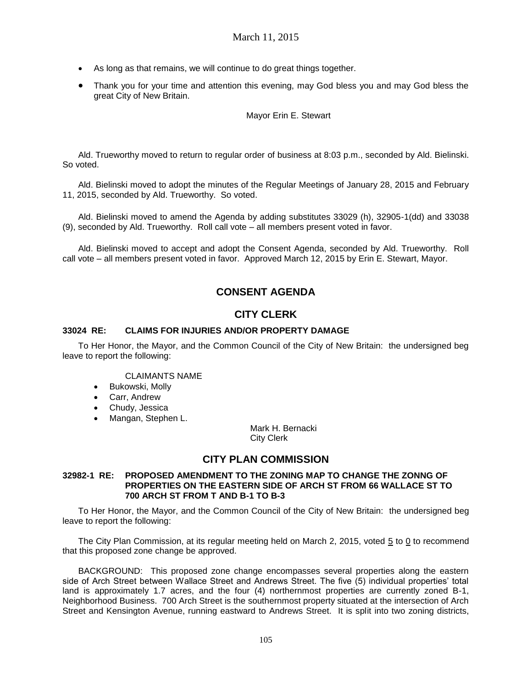- As long as that remains, we will continue to do great things together.
- Thank you for your time and attention this evening, may God bless you and may God bless the great City of New Britain.

### Mayor Erin E. Stewart

Ald. Trueworthy moved to return to regular order of business at 8:03 p.m., seconded by Ald. Bielinski. So voted.

Ald. Bielinski moved to adopt the minutes of the Regular Meetings of January 28, 2015 and February 11, 2015, seconded by Ald. Trueworthy. So voted.

Ald. Bielinski moved to amend the Agenda by adding substitutes 33029 (h), 32905-1(dd) and 33038 (9), seconded by Ald. Trueworthy. Roll call vote – all members present voted in favor.

Ald. Bielinski moved to accept and adopt the Consent Agenda, seconded by Ald. Trueworthy. Roll call vote – all members present voted in favor. Approved March 12, 2015 by Erin E. Stewart, Mayor.

# **CONSENT AGENDA**

# **CITY CLERK**

### **33024 RE: CLAIMS FOR INJURIES AND/OR PROPERTY DAMAGE**

To Her Honor, the Mayor, and the Common Council of the City of New Britain: the undersigned beg leave to report the following:

CLAIMANTS NAME

- **•** Bukowski, Molly
- Carr, Andrew
- Chudy, Jessica
- Mangan, Stephen L.

Mark H. Bernacki City Clerk

# **CITY PLAN COMMISSION**

#### **32982-1 RE: PROPOSED AMENDMENT TO THE ZONING MAP TO CHANGE THE ZONNG OF PROPERTIES ON THE EASTERN SIDE OF ARCH ST FROM 66 WALLACE ST TO 700 ARCH ST FROM T AND B-1 TO B-3**

To Her Honor, the Mayor, and the Common Council of the City of New Britain: the undersigned beg leave to report the following:

The City Plan Commission, at its regular meeting held on March 2, 2015, voted 5 to 0 to recommend that this proposed zone change be approved.

BACKGROUND: This proposed zone change encompasses several properties along the eastern side of Arch Street between Wallace Street and Andrews Street. The five (5) individual properties' total land is approximately 1.7 acres, and the four (4) northernmost properties are currently zoned B-1, Neighborhood Business. 700 Arch Street is the southernmost property situated at the intersection of Arch Street and Kensington Avenue, running eastward to Andrews Street. It is split into two zoning districts,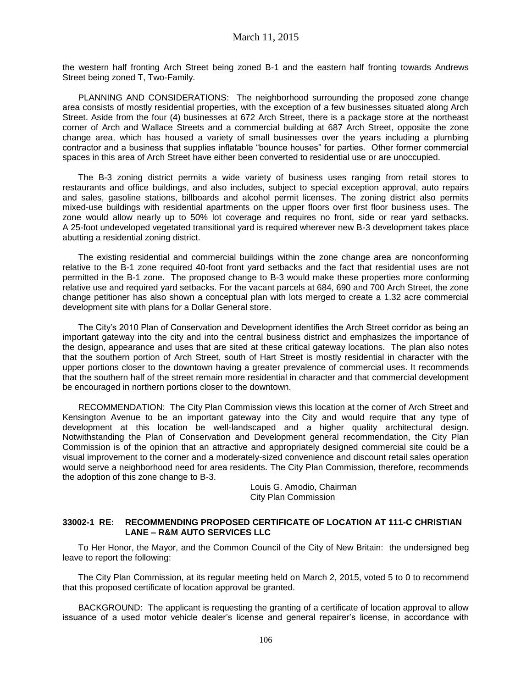the western half fronting Arch Street being zoned B-1 and the eastern half fronting towards Andrews Street being zoned T, Two-Family.

PLANNING AND CONSIDERATIONS: The neighborhood surrounding the proposed zone change area consists of mostly residential properties, with the exception of a few businesses situated along Arch Street. Aside from the four (4) businesses at 672 Arch Street, there is a package store at the northeast corner of Arch and Wallace Streets and a commercial building at 687 Arch Street, opposite the zone change area, which has housed a variety of small businesses over the years including a plumbing contractor and a business that supplies inflatable "bounce houses" for parties. Other former commercial spaces in this area of Arch Street have either been converted to residential use or are unoccupied.

The B-3 zoning district permits a wide variety of business uses ranging from retail stores to restaurants and office buildings, and also includes, subject to special exception approval, auto repairs and sales, gasoline stations, billboards and alcohol permit licenses. The zoning district also permits mixed-use buildings with residential apartments on the upper floors over first floor business uses. The zone would allow nearly up to 50% lot coverage and requires no front, side or rear yard setbacks. A 25-foot undeveloped vegetated transitional yard is required wherever new B-3 development takes place abutting a residential zoning district.

The existing residential and commercial buildings within the zone change area are nonconforming relative to the B-1 zone required 40-foot front yard setbacks and the fact that residential uses are not permitted in the B-1 zone. The proposed change to B-3 would make these properties more conforming relative use and required yard setbacks. For the vacant parcels at 684, 690 and 700 Arch Street, the zone change petitioner has also shown a conceptual plan with lots merged to create a 1.32 acre commercial development site with plans for a Dollar General store.

The City's 2010 Plan of Conservation and Development identifies the Arch Street corridor as being an important gateway into the city and into the central business district and emphasizes the importance of the design, appearance and uses that are sited at these critical gateway locations. The plan also notes that the southern portion of Arch Street, south of Hart Street is mostly residential in character with the upper portions closer to the downtown having a greater prevalence of commercial uses. It recommends that the southern half of the street remain more residential in character and that commercial development be encouraged in northern portions closer to the downtown.

RECOMMENDATION: The City Plan Commission views this location at the corner of Arch Street and Kensington Avenue to be an important gateway into the City and would require that any type of development at this location be well-landscaped and a higher quality architectural design. Notwithstanding the Plan of Conservation and Development general recommendation, the City Plan Commission is of the opinion that an attractive and appropriately designed commercial site could be a visual improvement to the corner and a moderately-sized convenience and discount retail sales operation would serve a neighborhood need for area residents. The City Plan Commission, therefore, recommends the adoption of this zone change to B-3.

> Louis G. Amodio, Chairman City Plan Commission

#### **33002-1 RE: RECOMMENDING PROPOSED CERTIFICATE OF LOCATION AT 111-C CHRISTIAN LANE – R&M AUTO SERVICES LLC**

To Her Honor, the Mayor, and the Common Council of the City of New Britain: the undersigned beg leave to report the following:

The City Plan Commission, at its regular meeting held on March 2, 2015, voted 5 to 0 to recommend that this proposed certificate of location approval be granted.

BACKGROUND: The applicant is requesting the granting of a certificate of location approval to allow issuance of a used motor vehicle dealer's license and general repairer's license, in accordance with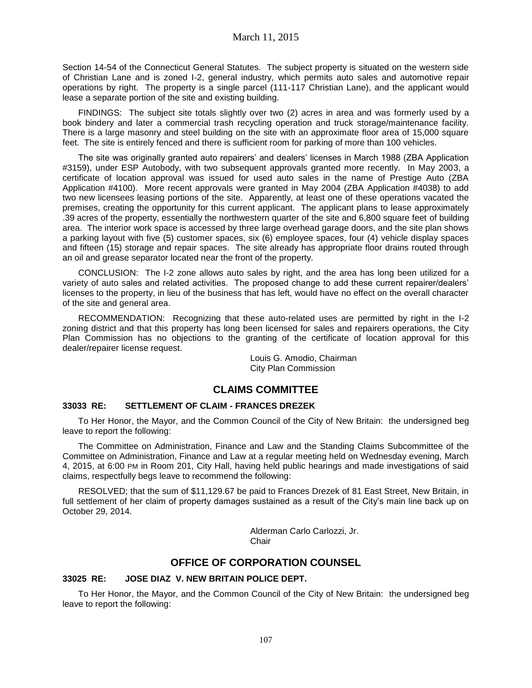Section 14-54 of the Connecticut General Statutes. The subject property is situated on the western side of Christian Lane and is zoned I-2, general industry, which permits auto sales and automotive repair operations by right. The property is a single parcel (111-117 Christian Lane), and the applicant would lease a separate portion of the site and existing building.

FINDINGS: The subject site totals slightly over two (2) acres in area and was formerly used by a book bindery and later a commercial trash recycling operation and truck storage/maintenance facility. There is a large masonry and steel building on the site with an approximate floor area of 15,000 square feet. The site is entirely fenced and there is sufficient room for parking of more than 100 vehicles.

The site was originally granted auto repairers' and dealers' licenses in March 1988 (ZBA Application #3159), under ESP Autobody, with two subsequent approvals granted more recently. In May 2003, a certificate of location approval was issued for used auto sales in the name of Prestige Auto (ZBA Application #4100). More recent approvals were granted in May 2004 (ZBA Application #4038) to add two new licensees leasing portions of the site. Apparently, at least one of these operations vacated the premises, creating the opportunity for this current applicant. The applicant plans to lease approximately .39 acres of the property, essentially the northwestern quarter of the site and 6,800 square feet of building area. The interior work space is accessed by three large overhead garage doors, and the site plan shows a parking layout with five (5) customer spaces, six (6) employee spaces, four (4) vehicle display spaces and fifteen (15) storage and repair spaces. The site already has appropriate floor drains routed through an oil and grease separator located near the front of the property.

CONCLUSION: The I-2 zone allows auto sales by right, and the area has long been utilized for a variety of auto sales and related activities. The proposed change to add these current repairer/dealers' licenses to the property, in lieu of the business that has left, would have no effect on the overall character of the site and general area.

RECOMMENDATION: Recognizing that these auto-related uses are permitted by right in the I-2 zoning district and that this property has long been licensed for sales and repairers operations, the City Plan Commission has no objections to the granting of the certificate of location approval for this dealer/repairer license request.

> Louis G. Amodio, Chairman City Plan Commission

# **CLAIMS COMMITTEE**

# **33033 RE: SETTLEMENT OF CLAIM - FRANCES DREZEK**

To Her Honor, the Mayor, and the Common Council of the City of New Britain: the undersigned beg leave to report the following:

The Committee on Administration, Finance and Law and the Standing Claims Subcommittee of the Committee on Administration, Finance and Law at a regular meeting held on Wednesday evening, March 4, 2015, at 6:00 PM in Room 201, City Hall, having held public hearings and made investigations of said claims, respectfully begs leave to recommend the following:

RESOLVED; that the sum of \$11,129.67 be paid to Frances Drezek of 81 East Street, New Britain, in full settlement of her claim of property damages sustained as a result of the City's main line back up on October 29, 2014.

> Alderman Carlo Carlozzi, Jr. **Chair**

# **OFFICE OF CORPORATION COUNSEL**

### **33025 RE: JOSE DIAZ V. NEW BRITAIN POLICE DEPT.**

To Her Honor, the Mayor, and the Common Council of the City of New Britain: the undersigned beg leave to report the following: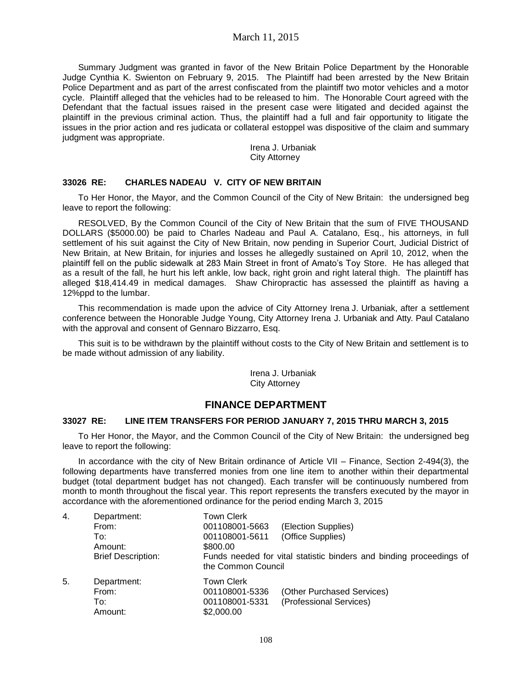# March 11, 2015

Summary Judgment was granted in favor of the New Britain Police Department by the Honorable Judge Cynthia K. Swienton on February 9, 2015. The Plaintiff had been arrested by the New Britain Police Department and as part of the arrest confiscated from the plaintiff two motor vehicles and a motor cycle. Plaintiff alleged that the vehicles had to be released to him. The Honorable Court agreed with the Defendant that the factual issues raised in the present case were litigated and decided against the plaintiff in the previous criminal action. Thus, the plaintiff had a full and fair opportunity to litigate the issues in the prior action and res judicata or collateral estoppel was dispositive of the claim and summary judgment was appropriate.

> Irena J. Urbaniak City Attorney

#### **33026 RE: CHARLES NADEAU V. CITY OF NEW BRITAIN**

To Her Honor, the Mayor, and the Common Council of the City of New Britain: the undersigned beg leave to report the following:

RESOLVED, By the Common Council of the City of New Britain that the sum of FIVE THOUSAND DOLLARS (\$5000.00) be paid to Charles Nadeau and Paul A. Catalano, Esq., his attorneys, in full settlement of his suit against the City of New Britain, now pending in Superior Court, Judicial District of New Britain, at New Britain, for injuries and losses he allegedly sustained on April 10, 2012, when the plaintiff fell on the public sidewalk at 283 Main Street in front of Amato's Toy Store. He has alleged that as a result of the fall, he hurt his left ankle, low back, right groin and right lateral thigh. The plaintiff has alleged \$18,414.49 in medical damages. Shaw Chiropractic has assessed the plaintiff as having a 12%ppd to the lumbar.

This recommendation is made upon the advice of City Attorney Irena J. Urbaniak, after a settlement conference between the Honorable Judge Young, City Attorney Irena J. Urbaniak and Atty. Paul Catalano with the approval and consent of Gennaro Bizzarro, Esq.

This suit is to be withdrawn by the plaintiff without costs to the City of New Britain and settlement is to be made without admission of any liability.

> Irena J. Urbaniak City Attorney

# **FINANCE DEPARTMENT**

#### **33027 RE: LINE ITEM TRANSFERS FOR PERIOD JANUARY 7, 2015 THRU MARCH 3, 2015**

To Her Honor, the Mayor, and the Common Council of the City of New Britain: the undersigned beg leave to report the following:

In accordance with the city of New Britain ordinance of Article VII – Finance, Section 2-494(3), the following departments have transferred monies from one line item to another within their departmental budget (total department budget has not changed). Each transfer will be continuously numbered from month to month throughout the fiscal year. This report represents the transfers executed by the mayor in accordance with the aforementioned ordinance for the period ending March 3, 2015

| 4. | Department:<br>From:<br>To:<br>Amount:<br><b>Brief Description:</b> | <b>Town Clerk</b><br>001108001-5663<br>001108001-5611<br>\$800.00<br>the Common Council | (Election Supplies)<br>(Office Supplies)<br>Funds needed for vital statistic binders and binding proceedings of |
|----|---------------------------------------------------------------------|-----------------------------------------------------------------------------------------|-----------------------------------------------------------------------------------------------------------------|
| 5. | Department:<br>From:<br>To:<br>Amount:                              | <b>Town Clerk</b><br>001108001-5336<br>001108001-5331<br>\$2,000.00                     | (Other Purchased Services)<br>(Professional Services)                                                           |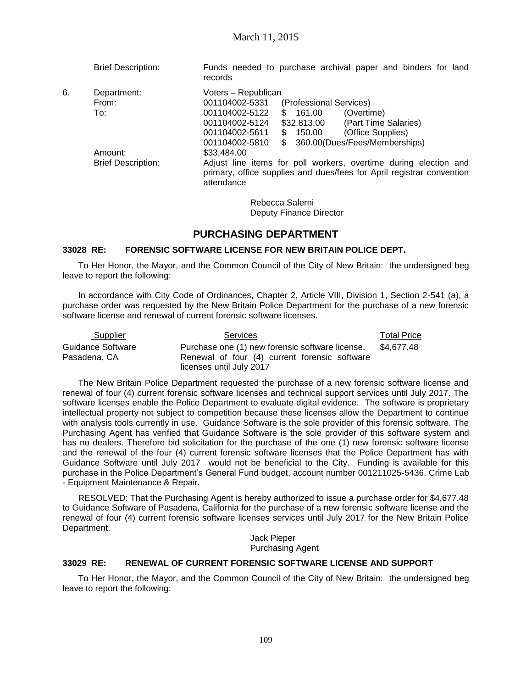Brief Description: Funds needed to purchase archival paper and binders for land records

6. Department: Voters – Republican<br>From: From: 001104002-5331 001104002-5331 (Professional Services) To: 001104002-5122 \$ 161.00 (Overtime) 001104002-5124 \$32,813.00 (Part Time Salaries) 001104002-5611 \$ 150.00 (Office Supplies) 001104002-5810 \$ 360.00(Dues/Fees/Memberships) Amount: \$33,484.00 Brief Description: Adjust line items for poll workers, overtime during election and primary, office supplies and dues/fees for April registrar convention attendance

> Rebecca Salerni Deputy Finance Director

# **PURCHASING DEPARTMENT**

#### **33028 RE: FORENSIC SOFTWARE LICENSE FOR NEW BRITAIN POLICE DEPT.**

To Her Honor, the Mayor, and the Common Council of the City of New Britain: the undersigned beg leave to report the following:

In accordance with City Code of Ordinances, Chapter 2, Article VIII, Division 1, Section 2-541 (a), a purchase order was requested by the New Britain Police Department for the purchase of a new forensic software license and renewal of current forensic software licenses.

| Supplier          | <b>Services</b>                                 | <b>Total Price</b> |
|-------------------|-------------------------------------------------|--------------------|
| Guidance Software | Purchase one (1) new forensic software license. | \$4.677.48         |
| Pasadena. CA      | Renewal of four (4) current forensic software   |                    |
|                   | licenses until July 2017                        |                    |

The New Britain Police Department requested the purchase of a new forensic software license and renewal of four (4) current forensic software licenses and technical support services until July 2017. The software licenses enable the Police Department to evaluate digital evidence. The software is proprietary intellectual property not subject to competition because these licenses allow the Department to continue with analysis tools currently in use. Guidance Software is the sole provider of this forensic software. The Purchasing Agent has verified that Guidance Software is the sole provider of this software system and has no dealers. Therefore bid solicitation for the purchase of the one (1) new forensic software license and the renewal of the four (4) current forensic software licenses that the Police Department has with Guidance Software until July 2017 would not be beneficial to the City. Funding is available for this purchase in the Police Department's General Fund budget, account number 001211025-5436, Crime Lab - Equipment Maintenance & Repair.

RESOLVED: That the Purchasing Agent is hereby authorized to issue a purchase order for \$4,677.48 to Guidance Software of Pasadena, California for the purchase of a new forensic software license and the renewal of four (4) current forensic software licenses services until July 2017 for the New Britain Police Department.

Jack Pieper Purchasing Agent

#### **33029 RE: RENEWAL OF CURRENT FORENSIC SOFTWARE LICENSE AND SUPPORT**

To Her Honor, the Mayor, and the Common Council of the City of New Britain: the undersigned beg leave to report the following: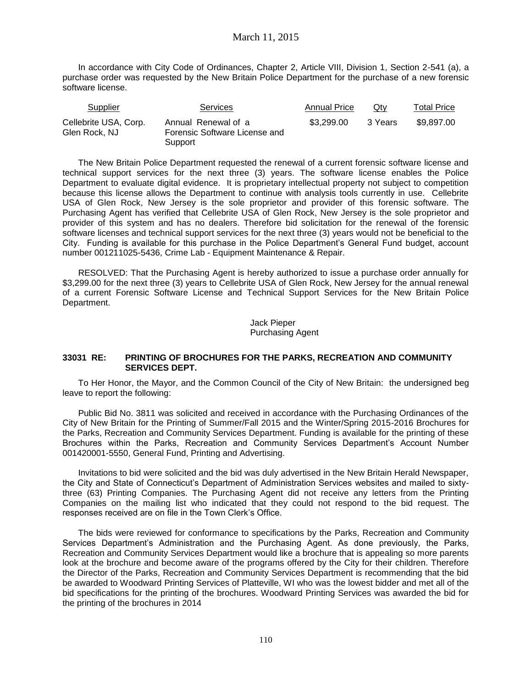# March 11, 2015

In accordance with City Code of Ordinances, Chapter 2, Article VIII, Division 1, Section 2-541 (a), a purchase order was requested by the New Britain Police Department for the purchase of a new forensic software license.

| Supplier                               | <b>Services</b>                                                 | <b>Annual Price</b> | Qtv     | <b>Total Price</b> |
|----------------------------------------|-----------------------------------------------------------------|---------------------|---------|--------------------|
| Cellebrite USA, Corp.<br>Glen Rock, NJ | Annual Renewal of a<br>Forensic Software License and<br>Support | \$3.299.00          | 3 Years | \$9.897.00         |

The New Britain Police Department requested the renewal of a current forensic software license and technical support services for the next three (3) years. The software license enables the Police Department to evaluate digital evidence. It is proprietary intellectual property not subject to competition because this license allows the Department to continue with analysis tools currently in use. Cellebrite USA of Glen Rock, New Jersey is the sole proprietor and provider of this forensic software. The Purchasing Agent has verified that Cellebrite USA of Glen Rock, New Jersey is the sole proprietor and provider of this system and has no dealers. Therefore bid solicitation for the renewal of the forensic software licenses and technical support services for the next three (3) years would not be beneficial to the City. Funding is available for this purchase in the Police Department's General Fund budget, account number 001211025-5436, Crime Lab - Equipment Maintenance & Repair.

RESOLVED: That the Purchasing Agent is hereby authorized to issue a purchase order annually for \$3,299.00 for the next three (3) years to Cellebrite USA of Glen Rock, New Jersey for the annual renewal of a current Forensic Software License and Technical Support Services for the New Britain Police Department.

> Jack Pieper Purchasing Agent

#### **33031 RE: PRINTING OF BROCHURES FOR THE PARKS, RECREATION AND COMMUNITY SERVICES DEPT.**

To Her Honor, the Mayor, and the Common Council of the City of New Britain: the undersigned beg leave to report the following:

Public Bid No. 3811 was solicited and received in accordance with the Purchasing Ordinances of the City of New Britain for the Printing of Summer/Fall 2015 and the Winter/Spring 2015-2016 Brochures for the Parks, Recreation and Community Services Department. Funding is available for the printing of these Brochures within the Parks, Recreation and Community Services Department's Account Number 001420001-5550, General Fund, Printing and Advertising.

Invitations to bid were solicited and the bid was duly advertised in the New Britain Herald Newspaper, the City and State of Connecticut's Department of Administration Services websites and mailed to sixtythree (63) Printing Companies. The Purchasing Agent did not receive any letters from the Printing Companies on the mailing list who indicated that they could not respond to the bid request. The responses received are on file in the Town Clerk's Office.

The bids were reviewed for conformance to specifications by the Parks, Recreation and Community Services Department's Administration and the Purchasing Agent. As done previously, the Parks, Recreation and Community Services Department would like a brochure that is appealing so more parents look at the brochure and become aware of the programs offered by the City for their children. Therefore the Director of the Parks, Recreation and Community Services Department is recommending that the bid be awarded to Woodward Printing Services of Platteville, WI who was the lowest bidder and met all of the bid specifications for the printing of the brochures. Woodward Printing Services was awarded the bid for the printing of the brochures in 2014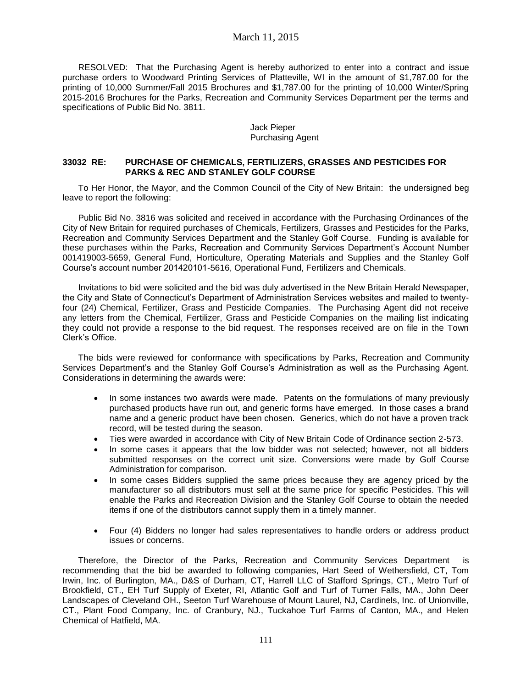# March 11, 2015

RESOLVED: That the Purchasing Agent is hereby authorized to enter into a contract and issue purchase orders to Woodward Printing Services of Platteville, WI in the amount of \$1,787.00 for the printing of 10,000 Summer/Fall 2015 Brochures and \$1,787.00 for the printing of 10,000 Winter/Spring 2015-2016 Brochures for the Parks, Recreation and Community Services Department per the terms and specifications of Public Bid No. 3811.

#### Jack Pieper Purchasing Agent

### **33032 RE: PURCHASE OF CHEMICALS, FERTILIZERS, GRASSES AND PESTICIDES FOR PARKS & REC AND STANLEY GOLF COURSE**

To Her Honor, the Mayor, and the Common Council of the City of New Britain: the undersigned beg leave to report the following:

Public Bid No. 3816 was solicited and received in accordance with the Purchasing Ordinances of the City of New Britain for required purchases of Chemicals, Fertilizers, Grasses and Pesticides for the Parks, Recreation and Community Services Department and the Stanley Golf Course. Funding is available for these purchases within the Parks, Recreation and Community Services Department's Account Number 001419003-5659, General Fund, Horticulture, Operating Materials and Supplies and the Stanley Golf Course's account number 201420101-5616, Operational Fund, Fertilizers and Chemicals.

Invitations to bid were solicited and the bid was duly advertised in the New Britain Herald Newspaper, the City and State of Connecticut's Department of Administration Services websites and mailed to twentyfour (24) Chemical, Fertilizer, Grass and Pesticide Companies. The Purchasing Agent did not receive any letters from the Chemical, Fertilizer, Grass and Pesticide Companies on the mailing list indicating they could not provide a response to the bid request. The responses received are on file in the Town Clerk's Office.

The bids were reviewed for conformance with specifications by Parks, Recreation and Community Services Department's and the Stanley Golf Course's Administration as well as the Purchasing Agent. Considerations in determining the awards were:

- In some instances two awards were made. Patents on the formulations of many previously purchased products have run out, and generic forms have emerged. In those cases a brand name and a generic product have been chosen. Generics, which do not have a proven track record, will be tested during the season.
- Ties were awarded in accordance with City of New Britain Code of Ordinance section 2-573.
- In some cases it appears that the low bidder was not selected; however, not all bidders submitted responses on the correct unit size. Conversions were made by Golf Course Administration for comparison.
- In some cases Bidders supplied the same prices because they are agency priced by the manufacturer so all distributors must sell at the same price for specific Pesticides. This will enable the Parks and Recreation Division and the Stanley Golf Course to obtain the needed items if one of the distributors cannot supply them in a timely manner.
- Four (4) Bidders no longer had sales representatives to handle orders or address product issues or concerns.

Therefore, the Director of the Parks, Recreation and Community Services Department is recommending that the bid be awarded to following companies, Hart Seed of Wethersfield, CT, Tom Irwin, Inc. of Burlington, MA., D&S of Durham, CT, Harrell LLC of Stafford Springs, CT., Metro Turf of Brookfield, CT., EH Turf Supply of Exeter, RI, Atlantic Golf and Turf of Turner Falls, MA., John Deer Landscapes of Cleveland OH., Seeton Turf Warehouse of Mount Laurel, NJ, Cardinels, Inc. of Unionville, CT., Plant Food Company, Inc. of Cranbury, NJ., Tuckahoe Turf Farms of Canton, MA., and Helen Chemical of Hatfield, MA.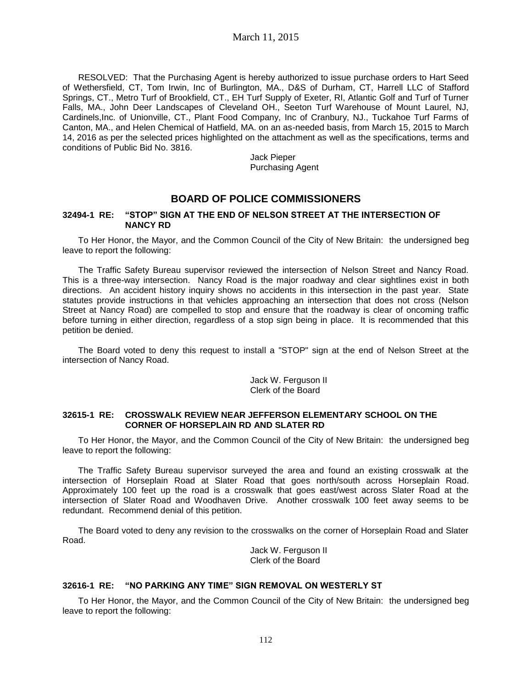RESOLVED: That the Purchasing Agent is hereby authorized to issue purchase orders to Hart Seed of Wethersfield, CT, Tom Irwin, Inc of Burlington, MA., D&S of Durham, CT, Harrell LLC of Stafford Springs, CT., Metro Turf of Brookfield, CT., EH Turf Supply of Exeter, RI, Atlantic Golf and Turf of Turner Falls, MA., John Deer Landscapes of Cleveland OH., Seeton Turf Warehouse of Mount Laurel, NJ, Cardinels,Inc. of Unionville, CT., Plant Food Company, Inc of Cranbury, NJ., Tuckahoe Turf Farms of Canton, MA., and Helen Chemical of Hatfield, MA. on an as-needed basis, from March 15, 2015 to March 14, 2016 as per the selected prices highlighted on the attachment as well as the specifications, terms and conditions of Public Bid No. 3816.

> Jack Pieper Purchasing Agent

# **BOARD OF POLICE COMMISSIONERS**

#### **32494-1 RE: "STOP" SIGN AT THE END OF NELSON STREET AT THE INTERSECTION OF NANCY RD**

To Her Honor, the Mayor, and the Common Council of the City of New Britain: the undersigned beg leave to report the following:

The Traffic Safety Bureau supervisor reviewed the intersection of Nelson Street and Nancy Road. This is a three-way intersection. Nancy Road is the major roadway and clear sightlines exist in both directions. An accident history inquiry shows no accidents in this intersection in the past year. State statutes provide instructions in that vehicles approaching an intersection that does not cross (Nelson Street at Nancy Road) are compelled to stop and ensure that the roadway is clear of oncoming traffic before turning in either direction, regardless of a stop sign being in place. It is recommended that this petition be denied.

The Board voted to deny this request to install a "STOP" sign at the end of Nelson Street at the intersection of Nancy Road.

> Jack W. Ferguson II Clerk of the Board

#### **32615-1 RE: CROSSWALK REVIEW NEAR JEFFERSON ELEMENTARY SCHOOL ON THE CORNER OF HORSEPLAIN RD AND SLATER RD**

To Her Honor, the Mayor, and the Common Council of the City of New Britain: the undersigned beg leave to report the following:

The Traffic Safety Bureau supervisor surveyed the area and found an existing crosswalk at the intersection of Horseplain Road at Slater Road that goes north/south across Horseplain Road. Approximately 100 feet up the road is a crosswalk that goes east/west across Slater Road at the intersection of Slater Road and Woodhaven Drive. Another crosswalk 100 feet away seems to be redundant. Recommend denial of this petition.

The Board voted to deny any revision to the crosswalks on the corner of Horseplain Road and Slater Road.

Jack W. Ferguson II Clerk of the Board

#### **32616-1 RE: "NO PARKING ANY TIME" SIGN REMOVAL ON WESTERLY ST**

To Her Honor, the Mayor, and the Common Council of the City of New Britain: the undersigned beg leave to report the following: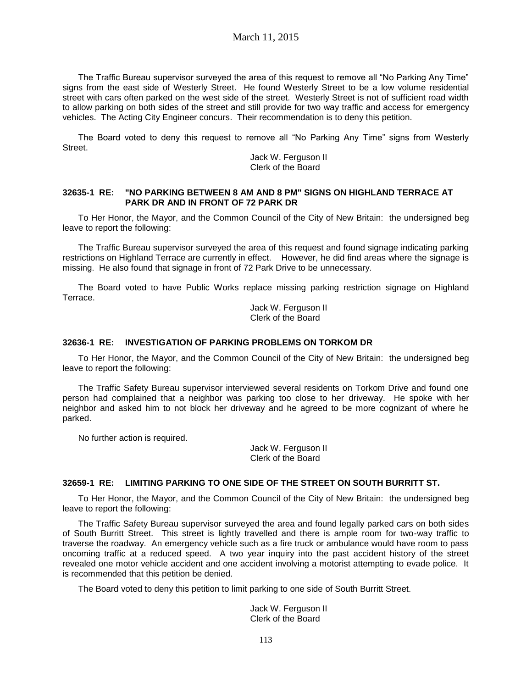The Traffic Bureau supervisor surveyed the area of this request to remove all "No Parking Any Time" signs from the east side of Westerly Street. He found Westerly Street to be a low volume residential street with cars often parked on the west side of the street. Westerly Street is not of sufficient road width to allow parking on both sides of the street and still provide for two way traffic and access for emergency vehicles. The Acting City Engineer concurs. Their recommendation is to deny this petition.

The Board voted to deny this request to remove all "No Parking Any Time" signs from Westerly Street.

> Jack W. Ferguson II Clerk of the Board

#### **32635-1 RE: "NO PARKING BETWEEN 8 AM AND 8 PM" SIGNS ON HIGHLAND TERRACE AT PARK DR AND IN FRONT OF 72 PARK DR**

To Her Honor, the Mayor, and the Common Council of the City of New Britain: the undersigned beg leave to report the following:

The Traffic Bureau supervisor surveyed the area of this request and found signage indicating parking restrictions on Highland Terrace are currently in effect. However, he did find areas where the signage is missing. He also found that signage in front of 72 Park Drive to be unnecessary.

The Board voted to have Public Works replace missing parking restriction signage on Highland Terrace.

> Jack W. Ferguson II Clerk of the Board

#### **32636-1 RE: INVESTIGATION OF PARKING PROBLEMS ON TORKOM DR**

To Her Honor, the Mayor, and the Common Council of the City of New Britain: the undersigned beg leave to report the following:

The Traffic Safety Bureau supervisor interviewed several residents on Torkom Drive and found one person had complained that a neighbor was parking too close to her driveway. He spoke with her neighbor and asked him to not block her driveway and he agreed to be more cognizant of where he parked.

No further action is required.

Jack W. Ferguson II Clerk of the Board

#### **32659-1 RE: LIMITING PARKING TO ONE SIDE OF THE STREET ON SOUTH BURRITT ST.**

To Her Honor, the Mayor, and the Common Council of the City of New Britain: the undersigned beg leave to report the following:

The Traffic Safety Bureau supervisor surveyed the area and found legally parked cars on both sides of South Burritt Street. This street is lightly travelled and there is ample room for two-way traffic to traverse the roadway. An emergency vehicle such as a fire truck or ambulance would have room to pass oncoming traffic at a reduced speed. A two year inquiry into the past accident history of the street revealed one motor vehicle accident and one accident involving a motorist attempting to evade police. It is recommended that this petition be denied.

The Board voted to deny this petition to limit parking to one side of South Burritt Street.

Jack W. Ferguson II Clerk of the Board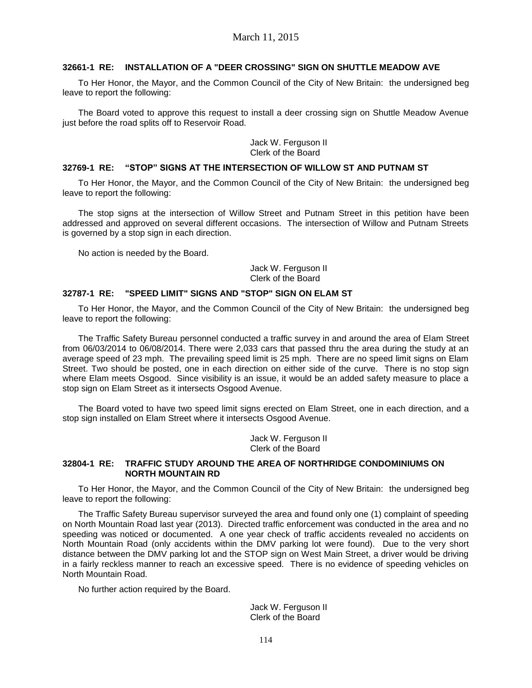#### **32661-1 RE: INSTALLATION OF A "DEER CROSSING" SIGN ON SHUTTLE MEADOW AVE**

To Her Honor, the Mayor, and the Common Council of the City of New Britain: the undersigned beg leave to report the following:

The Board voted to approve this request to install a deer crossing sign on Shuttle Meadow Avenue just before the road splits off to Reservoir Road.

#### Jack W. Ferguson II Clerk of the Board

#### **32769-1 RE: "STOP" SIGNS AT THE INTERSECTION OF WILLOW ST AND PUTNAM ST**

To Her Honor, the Mayor, and the Common Council of the City of New Britain: the undersigned beg leave to report the following:

The stop signs at the intersection of Willow Street and Putnam Street in this petition have been addressed and approved on several different occasions. The intersection of Willow and Putnam Streets is governed by a stop sign in each direction.

No action is needed by the Board.

Jack W. Ferguson II Clerk of the Board

#### **32787-1 RE: "SPEED LIMIT" SIGNS AND "STOP" SIGN ON ELAM ST**

To Her Honor, the Mayor, and the Common Council of the City of New Britain: the undersigned beg leave to report the following:

The Traffic Safety Bureau personnel conducted a traffic survey in and around the area of Elam Street from 06/03/2014 to 06/08/2014. There were 2,033 cars that passed thru the area during the study at an average speed of 23 mph. The prevailing speed limit is 25 mph. There are no speed limit signs on Elam Street. Two should be posted, one in each direction on either side of the curve. There is no stop sign where Elam meets Osgood. Since visibility is an issue, it would be an added safety measure to place a stop sign on Elam Street as it intersects Osgood Avenue.

The Board voted to have two speed limit signs erected on Elam Street, one in each direction, and a stop sign installed on Elam Street where it intersects Osgood Avenue.

> Jack W. Ferguson II Clerk of the Board

### **32804-1 RE: TRAFFIC STUDY AROUND THE AREA OF NORTHRIDGE CONDOMINIUMS ON NORTH MOUNTAIN RD**

To Her Honor, the Mayor, and the Common Council of the City of New Britain: the undersigned beg leave to report the following:

The Traffic Safety Bureau supervisor surveyed the area and found only one (1) complaint of speeding on North Mountain Road last year (2013). Directed traffic enforcement was conducted in the area and no speeding was noticed or documented. A one year check of traffic accidents revealed no accidents on North Mountain Road (only accidents within the DMV parking lot were found). Due to the very short distance between the DMV parking lot and the STOP sign on West Main Street, a driver would be driving in a fairly reckless manner to reach an excessive speed. There is no evidence of speeding vehicles on North Mountain Road.

No further action required by the Board.

Jack W. Ferguson II Clerk of the Board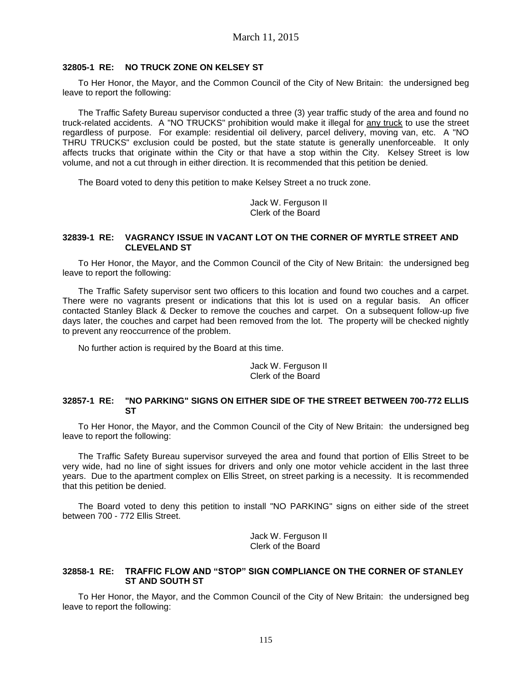#### **32805-1 RE: NO TRUCK ZONE ON KELSEY ST**

To Her Honor, the Mayor, and the Common Council of the City of New Britain: the undersigned beg leave to report the following:

The Traffic Safety Bureau supervisor conducted a three (3) year traffic study of the area and found no truck-related accidents. A "NO TRUCKS" prohibition would make it illegal for any truck to use the street regardless of purpose. For example: residential oil delivery, parcel delivery, moving van, etc. A "NO THRU TRUCKS" exclusion could be posted, but the state statute is generally unenforceable. It only affects trucks that originate within the City or that have a stop within the City. Kelsey Street is low volume, and not a cut through in either direction. It is recommended that this petition be denied.

The Board voted to deny this petition to make Kelsey Street a no truck zone.

Jack W. Ferguson II Clerk of the Board

#### **32839-1 RE: VAGRANCY ISSUE IN VACANT LOT ON THE CORNER OF MYRTLE STREET AND CLEVELAND ST**

To Her Honor, the Mayor, and the Common Council of the City of New Britain: the undersigned beg leave to report the following:

The Traffic Safety supervisor sent two officers to this location and found two couches and a carpet. There were no vagrants present or indications that this lot is used on a regular basis. An officer contacted Stanley Black & Decker to remove the couches and carpet. On a subsequent follow-up five days later, the couches and carpet had been removed from the lot. The property will be checked nightly to prevent any reoccurrence of the problem.

No further action is required by the Board at this time.

#### Jack W. Ferguson II Clerk of the Board

#### **32857-1 RE: "NO PARKING" SIGNS ON EITHER SIDE OF THE STREET BETWEEN 700-772 ELLIS ST**

To Her Honor, the Mayor, and the Common Council of the City of New Britain: the undersigned beg leave to report the following:

The Traffic Safety Bureau supervisor surveyed the area and found that portion of Ellis Street to be very wide, had no line of sight issues for drivers and only one motor vehicle accident in the last three years. Due to the apartment complex on Ellis Street, on street parking is a necessity. It is recommended that this petition be denied.

The Board voted to deny this petition to install "NO PARKING" signs on either side of the street between 700 - 772 Ellis Street.

> Jack W. Ferguson II Clerk of the Board

#### **32858-1 RE: TRAFFIC FLOW AND "STOP" SIGN COMPLIANCE ON THE CORNER OF STANLEY ST AND SOUTH ST**

To Her Honor, the Mayor, and the Common Council of the City of New Britain: the undersigned beg leave to report the following: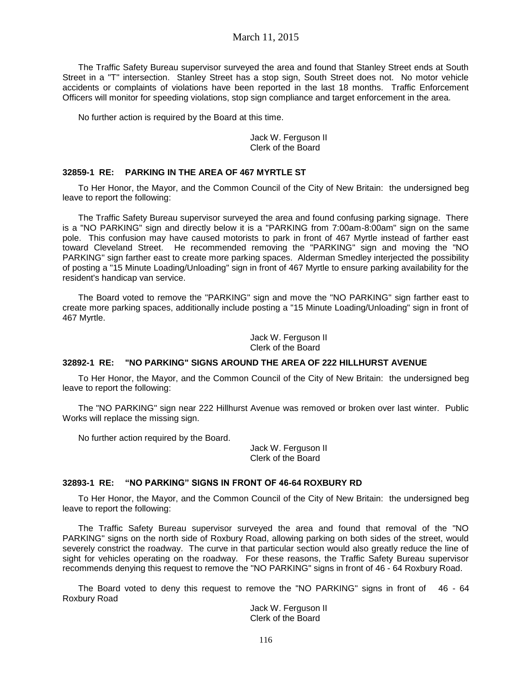### March 11, 2015

The Traffic Safety Bureau supervisor surveyed the area and found that Stanley Street ends at South Street in a "T" intersection. Stanley Street has a stop sign, South Street does not. No motor vehicle accidents or complaints of violations have been reported in the last 18 months. Traffic Enforcement Officers will monitor for speeding violations, stop sign compliance and target enforcement in the area.

No further action is required by the Board at this time.

Jack W. Ferguson II Clerk of the Board

#### **32859-1 RE: PARKING IN THE AREA OF 467 MYRTLE ST**

To Her Honor, the Mayor, and the Common Council of the City of New Britain: the undersigned beg leave to report the following:

The Traffic Safety Bureau supervisor surveyed the area and found confusing parking signage. There is a "NO PARKING" sign and directly below it is a "PARKING from 7:00am-8:00am" sign on the same pole. This confusion may have caused motorists to park in front of 467 Myrtle instead of farther east toward Cleveland Street. He recommended removing the "PARKING" sign and moving the "NO PARKING" sign farther east to create more parking spaces. Alderman Smedley interjected the possibility of posting a "15 Minute Loading/Unloading" sign in front of 467 Myrtle to ensure parking availability for the resident's handicap van service.

The Board voted to remove the "PARKING" sign and move the "NO PARKING" sign farther east to create more parking spaces, additionally include posting a "15 Minute Loading/Unloading" sign in front of 467 Myrtle.

> Jack W. Ferguson II Clerk of the Board

#### **32892-1 RE: "NO PARKING" SIGNS AROUND THE AREA OF 222 HILLHURST AVENUE**

To Her Honor, the Mayor, and the Common Council of the City of New Britain: the undersigned beg leave to report the following:

The "NO PARKING" sign near 222 Hillhurst Avenue was removed or broken over last winter. Public Works will replace the missing sign.

No further action required by the Board.

Jack W. Ferguson II Clerk of the Board

#### **32893-1 RE: "NO PARKING" SIGNS IN FRONT OF 46-64 ROXBURY RD**

To Her Honor, the Mayor, and the Common Council of the City of New Britain: the undersigned beg leave to report the following:

The Traffic Safety Bureau supervisor surveyed the area and found that removal of the "NO PARKING" signs on the north side of Roxbury Road, allowing parking on both sides of the street, would severely constrict the roadway. The curve in that particular section would also greatly reduce the line of sight for vehicles operating on the roadway. For these reasons, the Traffic Safety Bureau supervisor recommends denying this request to remove the "NO PARKING" signs in front of 46 - 64 Roxbury Road.

The Board voted to deny this request to remove the "NO PARKING" signs in front of 46 - 64 Roxbury Road

Jack W. Ferguson II Clerk of the Board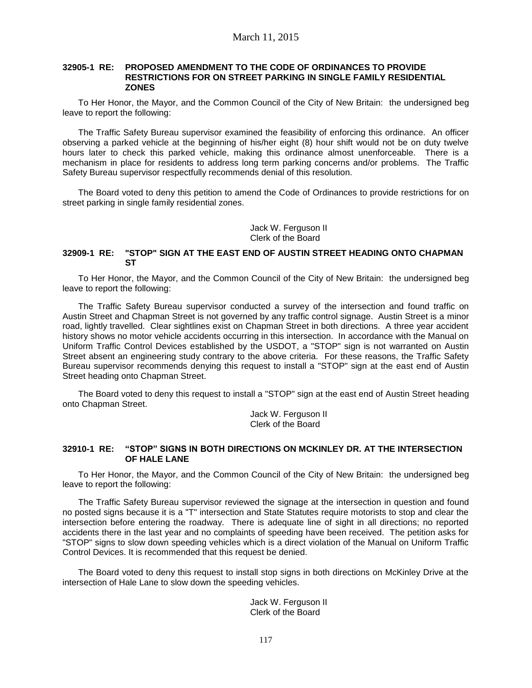#### **32905-1 RE: PROPOSED AMENDMENT TO THE CODE OF ORDINANCES TO PROVIDE RESTRICTIONS FOR ON STREET PARKING IN SINGLE FAMILY RESIDENTIAL ZONES**

To Her Honor, the Mayor, and the Common Council of the City of New Britain: the undersigned beg leave to report the following:

The Traffic Safety Bureau supervisor examined the feasibility of enforcing this ordinance. An officer observing a parked vehicle at the beginning of his/her eight (8) hour shift would not be on duty twelve hours later to check this parked vehicle, making this ordinance almost unenforceable. There is a mechanism in place for residents to address long term parking concerns and/or problems. The Traffic Safety Bureau supervisor respectfully recommends denial of this resolution.

The Board voted to deny this petition to amend the Code of Ordinances to provide restrictions for on street parking in single family residential zones.

> Jack W. Ferguson II Clerk of the Board

#### **32909-1 RE: "STOP" SIGN AT THE EAST END OF AUSTIN STREET HEADING ONTO CHAPMAN ST**

To Her Honor, the Mayor, and the Common Council of the City of New Britain: the undersigned beg leave to report the following:

The Traffic Safety Bureau supervisor conducted a survey of the intersection and found traffic on Austin Street and Chapman Street is not governed by any traffic control signage. Austin Street is a minor road, lightly travelled. Clear sightlines exist on Chapman Street in both directions. A three year accident history shows no motor vehicle accidents occurring in this intersection. In accordance with the Manual on Uniform Traffic Control Devices established by the USDOT, a "STOP" sign is not warranted on Austin Street absent an engineering study contrary to the above criteria. For these reasons, the Traffic Safety Bureau supervisor recommends denying this request to install a "STOP" sign at the east end of Austin Street heading onto Chapman Street.

The Board voted to deny this request to install a "STOP" sign at the east end of Austin Street heading onto Chapman Street.

Jack W. Ferguson II Clerk of the Board

#### **32910-1 RE: "STOP" SIGNS IN BOTH DIRECTIONS ON MCKINLEY DR. AT THE INTERSECTION OF HALE LANE**

To Her Honor, the Mayor, and the Common Council of the City of New Britain: the undersigned beg leave to report the following:

The Traffic Safety Bureau supervisor reviewed the signage at the intersection in question and found no posted signs because it is a "T" intersection and State Statutes require motorists to stop and clear the intersection before entering the roadway. There is adequate line of sight in all directions; no reported accidents there in the last year and no complaints of speeding have been received. The petition asks for "STOP" signs to slow down speeding vehicles which is a direct violation of the Manual on Uniform Traffic Control Devices. It is recommended that this request be denied.

The Board voted to deny this request to install stop signs in both directions on McKinley Drive at the intersection of Hale Lane to slow down the speeding vehicles.

> Jack W. Ferguson II Clerk of the Board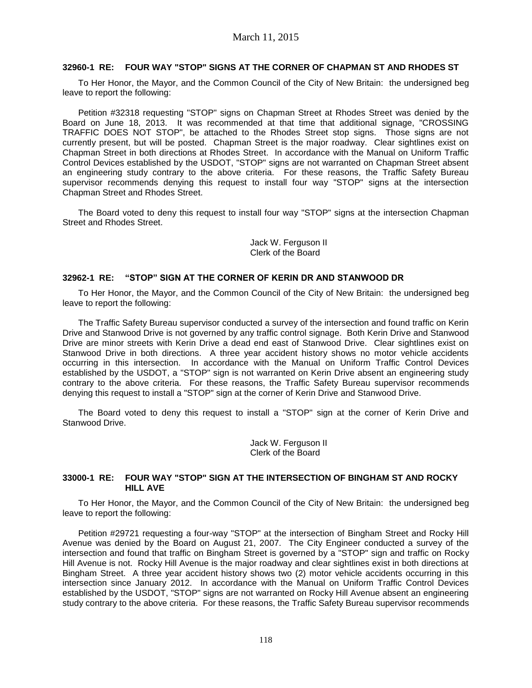#### **32960-1 RE: FOUR WAY "STOP" SIGNS AT THE CORNER OF CHAPMAN ST AND RHODES ST**

To Her Honor, the Mayor, and the Common Council of the City of New Britain: the undersigned beg leave to report the following:

Petition #32318 requesting "STOP" signs on Chapman Street at Rhodes Street was denied by the Board on June 18, 2013. It was recommended at that time that additional signage, "CROSSING TRAFFIC DOES NOT STOP", be attached to the Rhodes Street stop signs. Those signs are not currently present, but will be posted. Chapman Street is the major roadway. Clear sightlines exist on Chapman Street in both directions at Rhodes Street. In accordance with the Manual on Uniform Traffic Control Devices established by the USDOT, "STOP" signs are not warranted on Chapman Street absent an engineering study contrary to the above criteria. For these reasons, the Traffic Safety Bureau supervisor recommends denying this request to install four way "STOP" signs at the intersection Chapman Street and Rhodes Street.

The Board voted to deny this request to install four way "STOP" signs at the intersection Chapman Street and Rhodes Street.

> Jack W. Ferguson II Clerk of the Board

#### **32962-1 RE: "STOP" SIGN AT THE CORNER OF KERIN DR AND STANWOOD DR**

To Her Honor, the Mayor, and the Common Council of the City of New Britain: the undersigned beg leave to report the following:

The Traffic Safety Bureau supervisor conducted a survey of the intersection and found traffic on Kerin Drive and Stanwood Drive is not governed by any traffic control signage. Both Kerin Drive and Stanwood Drive are minor streets with Kerin Drive a dead end east of Stanwood Drive. Clear sightlines exist on Stanwood Drive in both directions. A three year accident history shows no motor vehicle accidents occurring in this intersection. In accordance with the Manual on Uniform Traffic Control Devices established by the USDOT, a "STOP" sign is not warranted on Kerin Drive absent an engineering study contrary to the above criteria. For these reasons, the Traffic Safety Bureau supervisor recommends denying this request to install a "STOP" sign at the corner of Kerin Drive and Stanwood Drive.

The Board voted to deny this request to install a "STOP" sign at the corner of Kerin Drive and Stanwood Drive.

> Jack W. Ferguson II Clerk of the Board

#### **33000-1 RE: FOUR WAY "STOP" SIGN AT THE INTERSECTION OF BINGHAM ST AND ROCKY HILL AVE**

To Her Honor, the Mayor, and the Common Council of the City of New Britain: the undersigned beg leave to report the following:

Petition #29721 requesting a four-way "STOP" at the intersection of Bingham Street and Rocky Hill Avenue was denied by the Board on August 21, 2007. The City Engineer conducted a survey of the intersection and found that traffic on Bingham Street is governed by a "STOP" sign and traffic on Rocky Hill Avenue is not. Rocky Hill Avenue is the major roadway and clear sightlines exist in both directions at Bingham Street. A three year accident history shows two (2) motor vehicle accidents occurring in this intersection since January 2012. In accordance with the Manual on Uniform Traffic Control Devices established by the USDOT, "STOP" signs are not warranted on Rocky Hill Avenue absent an engineering study contrary to the above criteria. For these reasons, the Traffic Safety Bureau supervisor recommends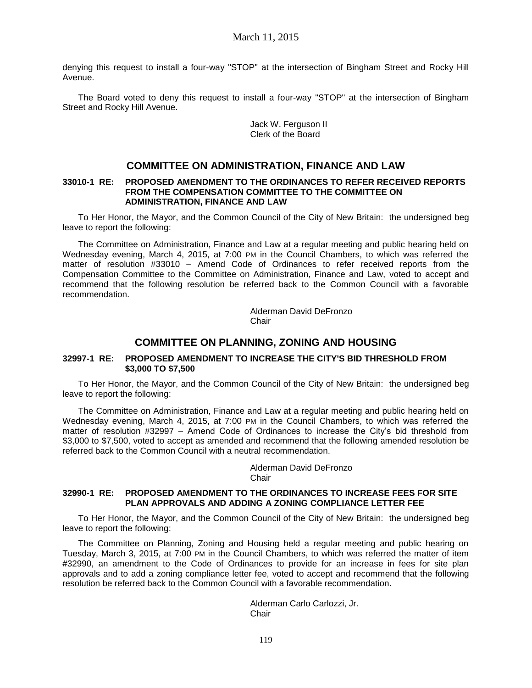denying this request to install a four-way "STOP" at the intersection of Bingham Street and Rocky Hill Avenue.

The Board voted to deny this request to install a four-way "STOP" at the intersection of Bingham Street and Rocky Hill Avenue.

> Jack W. Ferguson II Clerk of the Board

# **COMMITTEE ON ADMINISTRATION, FINANCE AND LAW**

#### **33010-1 RE: PROPOSED AMENDMENT TO THE ORDINANCES TO REFER RECEIVED REPORTS FROM THE COMPENSATION COMMITTEE TO THE COMMITTEE ON ADMINISTRATION, FINANCE AND LAW**

To Her Honor, the Mayor, and the Common Council of the City of New Britain: the undersigned beg leave to report the following:

The Committee on Administration, Finance and Law at a regular meeting and public hearing held on Wednesday evening, March 4, 2015, at 7:00 PM in the Council Chambers, to which was referred the matter of resolution #33010 – Amend Code of Ordinances to refer received reports from the Compensation Committee to the Committee on Administration, Finance and Law, voted to accept and recommend that the following resolution be referred back to the Common Council with a favorable recommendation.

> Alderman David DeFronzo Chair

# **COMMITTEE ON PLANNING, ZONING AND HOUSING**

#### **32997-1 RE: PROPOSED AMENDMENT TO INCREASE THE CITY'S BID THRESHOLD FROM \$3,000 TO \$7,500**

To Her Honor, the Mayor, and the Common Council of the City of New Britain: the undersigned beg leave to report the following:

The Committee on Administration, Finance and Law at a regular meeting and public hearing held on Wednesday evening, March 4, 2015, at 7:00 PM in the Council Chambers, to which was referred the matter of resolution #32997 – Amend Code of Ordinances to increase the City's bid threshold from \$3,000 to \$7,500, voted to accept as amended and recommend that the following amended resolution be referred back to the Common Council with a neutral recommendation.

> Alderman David DeFronzo Chair

#### **32990-1 RE: PROPOSED AMENDMENT TO THE ORDINANCES TO INCREASE FEES FOR SITE PLAN APPROVALS AND ADDING A ZONING COMPLIANCE LETTER FEE**

To Her Honor, the Mayor, and the Common Council of the City of New Britain: the undersigned beg leave to report the following:

The Committee on Planning, Zoning and Housing held a regular meeting and public hearing on Tuesday, March 3, 2015, at 7:00 PM in the Council Chambers, to which was referred the matter of item #32990, an amendment to the Code of Ordinances to provide for an increase in fees for site plan approvals and to add a zoning compliance letter fee, voted to accept and recommend that the following resolution be referred back to the Common Council with a favorable recommendation.

> Alderman Carlo Carlozzi, Jr. **Chair**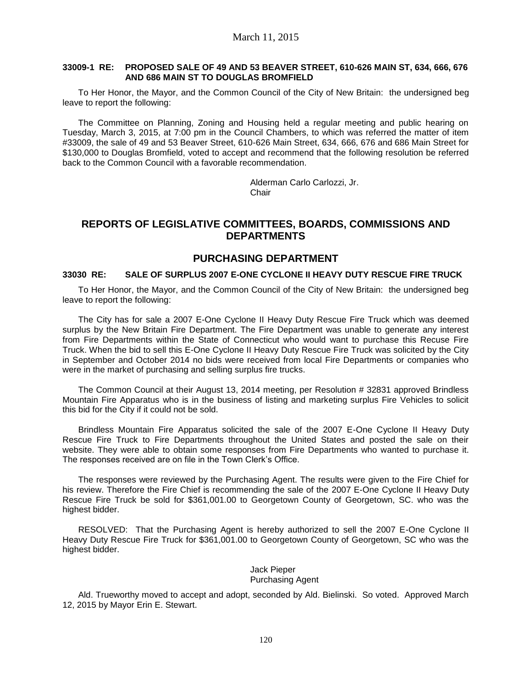#### **33009-1 RE: PROPOSED SALE OF 49 AND 53 BEAVER STREET, 610-626 MAIN ST, 634, 666, 676 AND 686 MAIN ST TO DOUGLAS BROMFIELD**

To Her Honor, the Mayor, and the Common Council of the City of New Britain: the undersigned beg leave to report the following:

The Committee on Planning, Zoning and Housing held a regular meeting and public hearing on Tuesday, March 3, 2015, at 7:00 pm in the Council Chambers, to which was referred the matter of item #33009, the sale of 49 and 53 Beaver Street, 610-626 Main Street, 634, 666, 676 and 686 Main Street for \$130,000 to Douglas Bromfield, voted to accept and recommend that the following resolution be referred back to the Common Council with a favorable recommendation.

> Alderman Carlo Carlozzi, Jr. **Chair**

# **REPORTS OF LEGISLATIVE COMMITTEES, BOARDS, COMMISSIONS AND DEPARTMENTS**

# **PURCHASING DEPARTMENT**

### **33030 RE: SALE OF SURPLUS 2007 E-ONE CYCLONE II HEAVY DUTY RESCUE FIRE TRUCK**

To Her Honor, the Mayor, and the Common Council of the City of New Britain: the undersigned beg leave to report the following:

The City has for sale a 2007 E-One Cyclone II Heavy Duty Rescue Fire Truck which was deemed surplus by the New Britain Fire Department. The Fire Department was unable to generate any interest from Fire Departments within the State of Connecticut who would want to purchase this Recuse Fire Truck. When the bid to sell this E-One Cyclone II Heavy Duty Rescue Fire Truck was solicited by the City in September and October 2014 no bids were received from local Fire Departments or companies who were in the market of purchasing and selling surplus fire trucks.

The Common Council at their August 13, 2014 meeting, per Resolution # 32831 approved Brindless Mountain Fire Apparatus who is in the business of listing and marketing surplus Fire Vehicles to solicit this bid for the City if it could not be sold.

Brindless Mountain Fire Apparatus solicited the sale of the 2007 E-One Cyclone II Heavy Duty Rescue Fire Truck to Fire Departments throughout the United States and posted the sale on their website. They were able to obtain some responses from Fire Departments who wanted to purchase it. The responses received are on file in the Town Clerk's Office.

The responses were reviewed by the Purchasing Agent. The results were given to the Fire Chief for his review. Therefore the Fire Chief is recommending the sale of the 2007 E-One Cyclone II Heavy Duty Rescue Fire Truck be sold for \$361,001.00 to Georgetown County of Georgetown, SC. who was the highest bidder.

RESOLVED: That the Purchasing Agent is hereby authorized to sell the 2007 E-One Cyclone II Heavy Duty Rescue Fire Truck for \$361,001.00 to Georgetown County of Georgetown, SC who was the highest bidder.

#### Jack Pieper Purchasing Agent

Ald. Trueworthy moved to accept and adopt, seconded by Ald. Bielinski. So voted. Approved March 12, 2015 by Mayor Erin E. Stewart.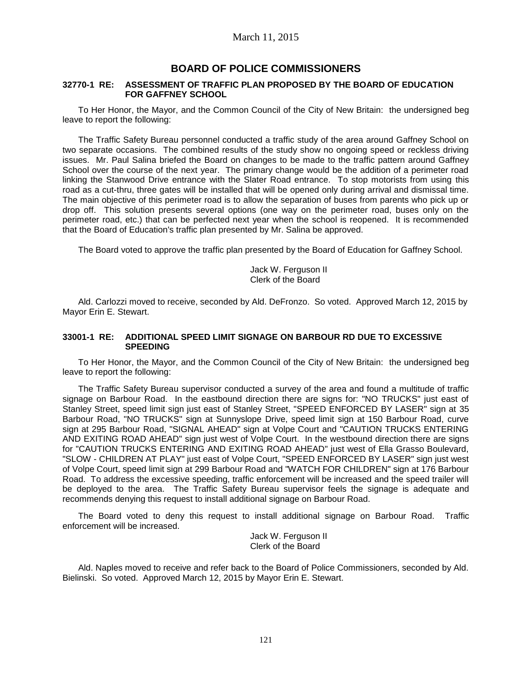# **BOARD OF POLICE COMMISSIONERS**

#### **32770-1 RE: ASSESSMENT OF TRAFFIC PLAN PROPOSED BY THE BOARD OF EDUCATION FOR GAFFNEY SCHOOL**

To Her Honor, the Mayor, and the Common Council of the City of New Britain: the undersigned beg leave to report the following:

The Traffic Safety Bureau personnel conducted a traffic study of the area around Gaffney School on two separate occasions. The combined results of the study show no ongoing speed or reckless driving issues. Mr. Paul Salina briefed the Board on changes to be made to the traffic pattern around Gaffney School over the course of the next year. The primary change would be the addition of a perimeter road linking the Stanwood Drive entrance with the Slater Road entrance. To stop motorists from using this road as a cut-thru, three gates will be installed that will be opened only during arrival and dismissal time. The main objective of this perimeter road is to allow the separation of buses from parents who pick up or drop off. This solution presents several options (one way on the perimeter road, buses only on the perimeter road, etc.) that can be perfected next year when the school is reopened. It is recommended that the Board of Education's traffic plan presented by Mr. Salina be approved.

The Board voted to approve the traffic plan presented by the Board of Education for Gaffney School.

Jack W. Ferguson II Clerk of the Board

Ald. Carlozzi moved to receive, seconded by Ald. DeFronzo. So voted. Approved March 12, 2015 by Mayor Erin E. Stewart.

#### **33001-1 RE: ADDITIONAL SPEED LIMIT SIGNAGE ON BARBOUR RD DUE TO EXCESSIVE SPEEDING**

To Her Honor, the Mayor, and the Common Council of the City of New Britain: the undersigned beg leave to report the following:

The Traffic Safety Bureau supervisor conducted a survey of the area and found a multitude of traffic signage on Barbour Road. In the eastbound direction there are signs for: "NO TRUCKS" just east of Stanley Street, speed limit sign just east of Stanley Street, "SPEED ENFORCED BY LASER" sign at 35 Barbour Road, "NO TRUCKS" sign at Sunnyslope Drive, speed limit sign at 150 Barbour Road, curve sign at 295 Barbour Road, "SIGNAL AHEAD" sign at Volpe Court and "CAUTION TRUCKS ENTERING AND EXITING ROAD AHEAD" sign just west of Volpe Court. In the westbound direction there are signs for "CAUTION TRUCKS ENTERING AND EXITING ROAD AHEAD" just west of Ella Grasso Boulevard, "SLOW - CHILDREN AT PLAY" just east of Volpe Court, "SPEED ENFORCED BY LASER" sign just west of Volpe Court, speed limit sign at 299 Barbour Road and "WATCH FOR CHILDREN" sign at 176 Barbour Road. To address the excessive speeding, traffic enforcement will be increased and the speed trailer will be deployed to the area. The Traffic Safety Bureau supervisor feels the signage is adequate and recommends denying this request to install additional signage on Barbour Road.

The Board voted to deny this request to install additional signage on Barbour Road. Traffic enforcement will be increased.

> Jack W. Ferguson II Clerk of the Board

Ald. Naples moved to receive and refer back to the Board of Police Commissioners, seconded by Ald. Bielinski. So voted. Approved March 12, 2015 by Mayor Erin E. Stewart.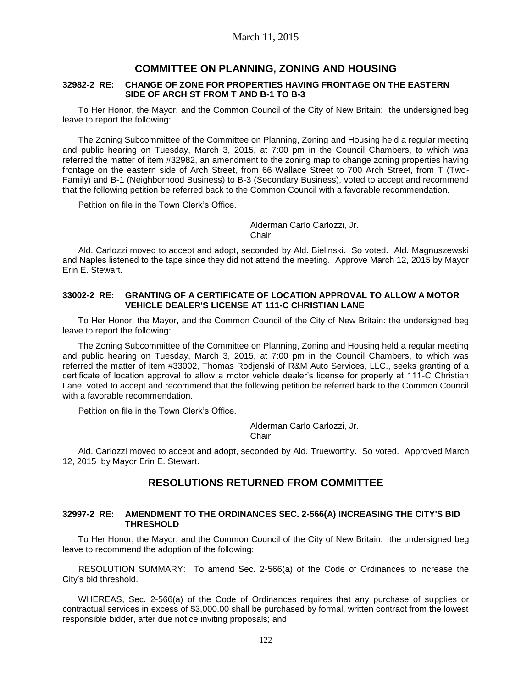### **COMMITTEE ON PLANNING, ZONING AND HOUSING**

#### **32982-2 RE: CHANGE OF ZONE FOR PROPERTIES HAVING FRONTAGE ON THE EASTERN SIDE OF ARCH ST FROM T AND B-1 TO B-3**

To Her Honor, the Mayor, and the Common Council of the City of New Britain: the undersigned beg leave to report the following:

The Zoning Subcommittee of the Committee on Planning, Zoning and Housing held a regular meeting and public hearing on Tuesday, March 3, 2015, at 7:00 pm in the Council Chambers, to which was referred the matter of item #32982, an amendment to the zoning map to change zoning properties having frontage on the eastern side of Arch Street, from 66 Wallace Street to 700 Arch Street, from T (Two-Family) and B-1 (Neighborhood Business) to B-3 (Secondary Business), voted to accept and recommend that the following petition be referred back to the Common Council with a favorable recommendation.

Petition on file in the Town Clerk's Office.

Alderman Carlo Carlozzi, Jr.

**Chair** 

Ald. Carlozzi moved to accept and adopt, seconded by Ald. Bielinski. So voted. Ald. Magnuszewski and Naples listened to the tape since they did not attend the meeting. Approve March 12, 2015 by Mayor Erin E. Stewart.

#### **33002-2 RE: GRANTING OF A CERTIFICATE OF LOCATION APPROVAL TO ALLOW A MOTOR VEHICLE DEALER'S LICENSE AT 111-C CHRISTIAN LANE**

To Her Honor, the Mayor, and the Common Council of the City of New Britain: the undersigned beg leave to report the following:

The Zoning Subcommittee of the Committee on Planning, Zoning and Housing held a regular meeting and public hearing on Tuesday, March 3, 2015, at 7:00 pm in the Council Chambers, to which was referred the matter of item #33002, Thomas Rodjenski of R&M Auto Services, LLC., seeks granting of a certificate of location approval to allow a motor vehicle dealer's license for property at 111-C Christian Lane, voted to accept and recommend that the following petition be referred back to the Common Council with a favorable recommendation.

Petition on file in the Town Clerk's Office.

Alderman Carlo Carlozzi, Jr.

**Chair** 

Ald. Carlozzi moved to accept and adopt, seconded by Ald. Trueworthy. So voted. Approved March 12, 2015 by Mayor Erin E. Stewart.

# **RESOLUTIONS RETURNED FROM COMMITTEE**

#### **32997-2 RE: AMENDMENT TO THE ORDINANCES SEC. 2-566(A) INCREASING THE CITY'S BID THRESHOLD**

To Her Honor, the Mayor, and the Common Council of the City of New Britain: the undersigned beg leave to recommend the adoption of the following:

RESOLUTION SUMMARY: To amend Sec. 2-566(a) of the Code of Ordinances to increase the City's bid threshold.

WHEREAS, Sec. 2-566(a) of the Code of Ordinances requires that any purchase of supplies or contractual services in excess of \$3,000.00 shall be purchased by formal, written contract from the lowest responsible bidder, after due notice inviting proposals; and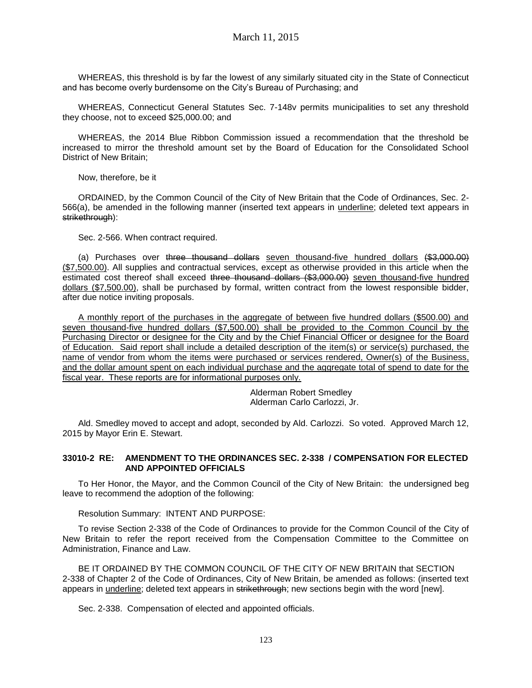WHEREAS, this threshold is by far the lowest of any similarly situated city in the State of Connecticut and has become overly burdensome on the City's Bureau of Purchasing; and

WHEREAS, Connecticut General Statutes Sec. 7-148v permits municipalities to set any threshold they choose, not to exceed \$25,000.00; and

WHEREAS, the 2014 Blue Ribbon Commission issued a recommendation that the threshold be increased to mirror the threshold amount set by the Board of Education for the Consolidated School District of New Britain;

Now, therefore, be it

ORDAINED, by the Common Council of the City of New Britain that the Code of Ordinances, Sec. 2- 566(a), be amended in the following manner (inserted text appears in underline; deleted text appears in strikethrough):

Sec. 2-566. When contract required.

(a) Purchases over three thousand dollars seven thousand-five hundred dollars (\$3,000.00) (\$7,500.00). All supplies and contractual services, except as otherwise provided in this article when the estimated cost thereof shall exceed three thousand dollars (\$3,000.00) seven thousand-five hundred dollars (\$7,500.00), shall be purchased by formal, written contract from the lowest responsible bidder, after due notice inviting proposals.

A monthly report of the purchases in the aggregate of between five hundred dollars (\$500.00) and seven thousand-five hundred dollars (\$7,500.00) shall be provided to the Common Council by the Purchasing Director or designee for the City and by the Chief Financial Officer or designee for the Board of Education. Said report shall include a detailed description of the item(s) or service(s) purchased, the name of vendor from whom the items were purchased or services rendered, Owner(s) of the Business, and the dollar amount spent on each individual purchase and the aggregate total of spend to date for the fiscal year. These reports are for informational purposes only.

> Alderman Robert Smedley Alderman Carlo Carlozzi, Jr.

Ald. Smedley moved to accept and adopt, seconded by Ald. Carlozzi. So voted. Approved March 12, 2015 by Mayor Erin E. Stewart.

#### **33010-2 RE: AMENDMENT TO THE ORDINANCES SEC. 2-338 / COMPENSATION FOR ELECTED AND APPOINTED OFFICIALS**

To Her Honor, the Mayor, and the Common Council of the City of New Britain: the undersigned beg leave to recommend the adoption of the following:

Resolution Summary: INTENT AND PURPOSE:

To revise Section 2-338 of the Code of Ordinances to provide for the Common Council of the City of New Britain to refer the report received from the Compensation Committee to the Committee on Administration, Finance and Law.

BE IT ORDAINED BY THE COMMON COUNCIL OF THE CITY OF NEW BRITAIN that SECTION 2-338 of Chapter 2 of the Code of Ordinances, City of New Britain, be amended as follows: (inserted text appears in underline; deleted text appears in strikethrough; new sections begin with the word [new].

Sec. 2-338. Compensation of elected and appointed officials.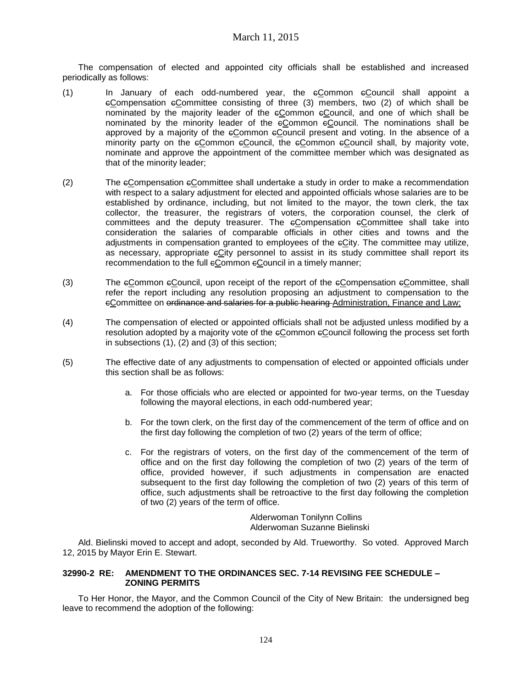The compensation of elected and appointed city officials shall be established and increased periodically as follows:

- (1) In January of each odd-numbered year, the  $e$ Common  $e$ Council shall appoint a  $e$ Compensation  $e$ Committee consisting of three (3) members, two (2) of which shall be nominated by the majority leader of the cCommon cCouncil, and one of which shall be nominated by the minority leader of the eCommon eCouncil. The nominations shall be approved by a majority of the cCommon cCouncil present and voting. In the absence of a minority party on the  $e_{\text{Common}}$  e $e_{\text{Common}}$  the  $e_{\text{Common}}$  econtrol shall, by majority vote, nominate and approve the appointment of the committee member which was designated as that of the minority leader;
- (2) The cCompensation cCommittee shall undertake a study in order to make a recommendation with respect to a salary adjustment for elected and appointed officials whose salaries are to be established by ordinance, including, but not limited to the mayor, the town clerk, the tax collector, the treasurer, the registrars of voters, the corporation counsel, the clerk of committees and the deputy treasurer. The  $e$ Compensation  $e$ Committee shall take into consideration the salaries of comparable officials in other cities and towns and the adjustments in compensation granted to employees of the eCity. The committee may utilize, as necessary, appropriate eCity personnel to assist in its study committee shall report its recommendation to the full eCommon eCouncil in a timely manner;
- (3) The  $\epsilon$ Common  $\epsilon$ Council, upon receipt of the report of the  $\epsilon$ Compensation  $\epsilon$ Committee, shall refer the report including any resolution proposing an adjustment to compensation to the eCommittee on ordinance and salaries for a public hearing Administration, Finance and Law;
- (4) The compensation of elected or appointed officials shall not be adjusted unless modified by a resolution adopted by a majority vote of the cCommon cCouncil following the process set forth in subsections (1), (2) and (3) of this section;
- (5) The effective date of any adjustments to compensation of elected or appointed officials under this section shall be as follows:
	- a. For those officials who are elected or appointed for two-year terms, on the Tuesday following the mayoral elections, in each odd-numbered year;
	- b. For the town clerk, on the first day of the commencement of the term of office and on the first day following the completion of two (2) years of the term of office;
	- c. For the registrars of voters, on the first day of the commencement of the term of office and on the first day following the completion of two (2) years of the term of office, provided however, if such adjustments in compensation are enacted subsequent to the first day following the completion of two (2) years of this term of office, such adjustments shall be retroactive to the first day following the completion of two (2) years of the term of office.

Alderwoman Tonilynn Collins Alderwoman Suzanne Bielinski

Ald. Bielinski moved to accept and adopt, seconded by Ald. Trueworthy. So voted. Approved March 12, 2015 by Mayor Erin E. Stewart.

### **32990-2 RE: AMENDMENT TO THE ORDINANCES SEC. 7-14 REVISING FEE SCHEDULE – ZONING PERMITS**

To Her Honor, the Mayor, and the Common Council of the City of New Britain: the undersigned beg leave to recommend the adoption of the following: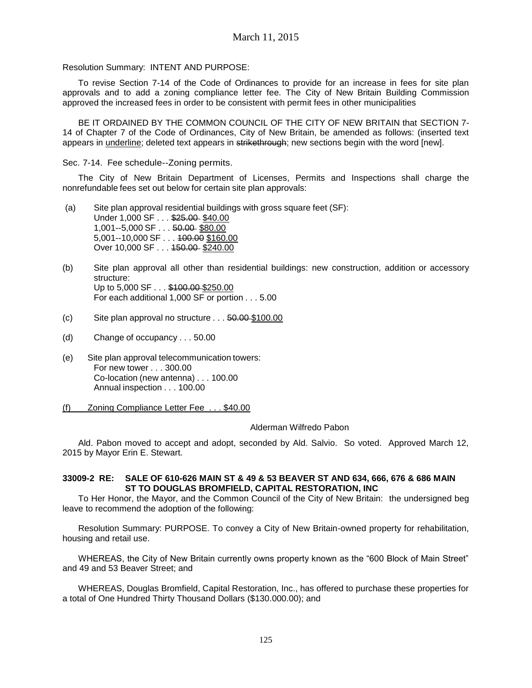Resolution Summary: INTENT AND PURPOSE:

To revise Section 7-14 of the Code of Ordinances to provide for an increase in fees for site plan approvals and to add a zoning compliance letter fee. The City of New Britain Building Commission approved the increased fees in order to be consistent with permit fees in other municipalities

BE IT ORDAINED BY THE COMMON COUNCIL OF THE CITY OF NEW BRITAIN that SECTION 7- 14 of Chapter 7 of the Code of Ordinances, City of New Britain, be amended as follows: (inserted text appears in underline; deleted text appears in strikethrough; new sections begin with the word [new].

Sec. 7-14. Fee schedule--Zoning permits.

The City of New Britain Department of Licenses, Permits and Inspections shall charge the nonrefundable fees set out below for certain site plan approvals:

- (a) Site plan approval residential buildings with gross square feet (SF): Under 1,000 SF . . . \$25.00 \$40.00 1,001--5,000 SF . . . 50.00 \$80.00 5,001--10,000 SF . . . 100.00 \$160.00 Over 10,000 SF . . . 150.00 \$240.00
- (b) Site plan approval all other than residential buildings: new construction, addition or accessory structure: Up to 5,000 SF . . . \$100.00 \$250.00 For each additional 1,000 SF or portion . . . 5.00
- (c) Site plan approval no structure . . . 50.00 \$100.00
- (d) Change of occupancy . . . 50.00
- (e) Site plan approval telecommunication towers: For new tower . . . 300.00 Co-location (new antenna) . . . 100.00 Annual inspection . . . 100.00
- (f) Zoning Compliance Letter Fee . . . \$40.00

#### Alderman Wilfredo Pabon

Ald. Pabon moved to accept and adopt, seconded by Ald. Salvio. So voted. Approved March 12, 2015 by Mayor Erin E. Stewart.

#### **33009-2 RE: SALE OF 610-626 MAIN ST & 49 & 53 BEAVER ST AND 634, 666, 676 & 686 MAIN ST TO DOUGLAS BROMFIELD, CAPITAL RESTORATION, INC**

To Her Honor, the Mayor, and the Common Council of the City of New Britain: the undersigned beg leave to recommend the adoption of the following:

Resolution Summary: PURPOSE. To convey a City of New Britain-owned property for rehabilitation, housing and retail use.

WHEREAS, the City of New Britain currently owns property known as the "600 Block of Main Street" and 49 and 53 Beaver Street; and

WHEREAS, Douglas Bromfield, Capital Restoration, Inc., has offered to purchase these properties for a total of One Hundred Thirty Thousand Dollars (\$130.000.00); and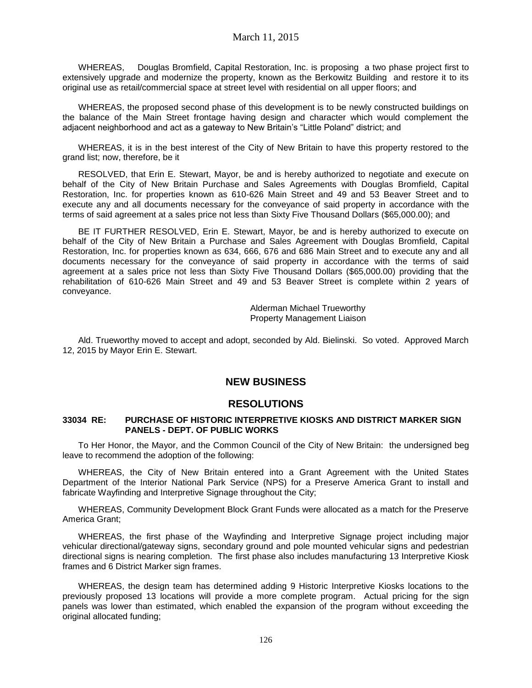WHEREAS, Douglas Bromfield, Capital Restoration, Inc. is proposing a two phase project first to extensively upgrade and modernize the property, known as the Berkowitz Building and restore it to its original use as retail/commercial space at street level with residential on all upper floors; and

WHEREAS, the proposed second phase of this development is to be newly constructed buildings on the balance of the Main Street frontage having design and character which would complement the adjacent neighborhood and act as a gateway to New Britain's "Little Poland" district; and

WHEREAS, it is in the best interest of the City of New Britain to have this property restored to the grand list; now, therefore, be it

RESOLVED, that Erin E. Stewart, Mayor, be and is hereby authorized to negotiate and execute on behalf of the City of New Britain Purchase and Sales Agreements with Douglas Bromfield, Capital Restoration, Inc. for properties known as 610-626 Main Street and 49 and 53 Beaver Street and to execute any and all documents necessary for the conveyance of said property in accordance with the terms of said agreement at a sales price not less than Sixty Five Thousand Dollars (\$65,000.00); and

BE IT FURTHER RESOLVED, Erin E. Stewart, Mayor, be and is hereby authorized to execute on behalf of the City of New Britain a Purchase and Sales Agreement with Douglas Bromfield, Capital Restoration, Inc. for properties known as 634, 666, 676 and 686 Main Street and to execute any and all documents necessary for the conveyance of said property in accordance with the terms of said agreement at a sales price not less than Sixty Five Thousand Dollars (\$65,000.00) providing that the rehabilitation of 610-626 Main Street and 49 and 53 Beaver Street is complete within 2 years of conveyance.

> Alderman Michael Trueworthy Property Management Liaison

Ald. Trueworthy moved to accept and adopt, seconded by Ald. Bielinski. So voted. Approved March 12, 2015 by Mayor Erin E. Stewart.

# **NEW BUSINESS**

# **RESOLUTIONS**

#### **33034 RE: PURCHASE OF HISTORIC INTERPRETIVE KIOSKS AND DISTRICT MARKER SIGN PANELS - DEPT. OF PUBLIC WORKS**

To Her Honor, the Mayor, and the Common Council of the City of New Britain: the undersigned beg leave to recommend the adoption of the following:

WHEREAS, the City of New Britain entered into a Grant Agreement with the United States Department of the Interior National Park Service (NPS) for a Preserve America Grant to install and fabricate Wayfinding and Interpretive Signage throughout the City;

WHEREAS, Community Development Block Grant Funds were allocated as a match for the Preserve America Grant;

WHEREAS, the first phase of the Wayfinding and Interpretive Signage project including major vehicular directional/gateway signs, secondary ground and pole mounted vehicular signs and pedestrian directional signs is nearing completion. The first phase also includes manufacturing 13 Interpretive Kiosk frames and 6 District Marker sign frames.

WHEREAS, the design team has determined adding 9 Historic Interpretive Kiosks locations to the previously proposed 13 locations will provide a more complete program. Actual pricing for the sign panels was lower than estimated, which enabled the expansion of the program without exceeding the original allocated funding;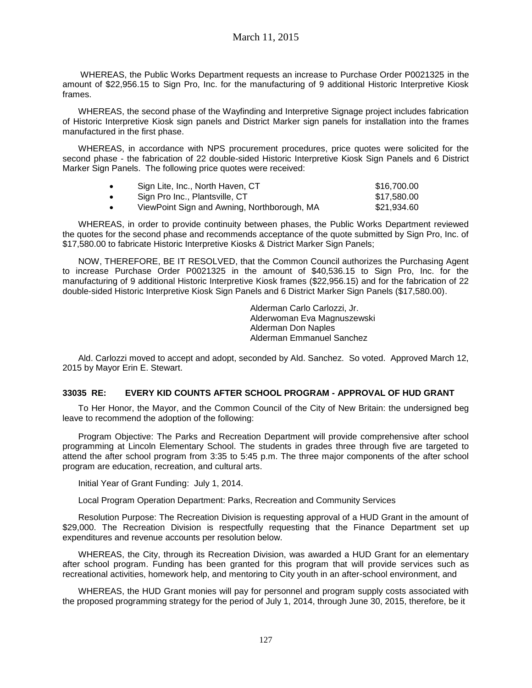WHEREAS, the Public Works Department requests an increase to Purchase Order P0021325 in the amount of \$22,956.15 to Sign Pro, Inc. for the manufacturing of 9 additional Historic Interpretive Kiosk frames.

WHEREAS, the second phase of the Wayfinding and Interpretive Signage project includes fabrication of Historic Interpretive Kiosk sign panels and District Marker sign panels for installation into the frames manufactured in the first phase.

WHEREAS, in accordance with NPS procurement procedures, price quotes were solicited for the second phase - the fabrication of 22 double-sided Historic Interpretive Kiosk Sign Panels and 6 District Marker Sign Panels. The following price quotes were received:

|           | Sign Lite, Inc., North Haven, CT            | \$16,700.00 |
|-----------|---------------------------------------------|-------------|
| $\bullet$ | Sign Pro Inc., Plantsville, CT              | \$17.580.00 |
|           | ViewPoint Sign and Awning, Northborough, MA | \$21.934.60 |

WHEREAS, in order to provide continuity between phases, the Public Works Department reviewed the quotes for the second phase and recommends acceptance of the quote submitted by Sign Pro, Inc. of \$17,580.00 to fabricate Historic Interpretive Kiosks & District Marker Sign Panels;

NOW, THEREFORE, BE IT RESOLVED, that the Common Council authorizes the Purchasing Agent to increase Purchase Order P0021325 in the amount of \$40,536.15 to Sign Pro, Inc. for the manufacturing of 9 additional Historic Interpretive Kiosk frames (\$22,956.15) and for the fabrication of 22 double-sided Historic Interpretive Kiosk Sign Panels and 6 District Marker Sign Panels (\$17,580.00).

> Alderman Carlo Carlozzi, Jr. Alderwoman Eva Magnuszewski Alderman Don Naples Alderman Emmanuel Sanchez

Ald. Carlozzi moved to accept and adopt, seconded by Ald. Sanchez. So voted. Approved March 12, 2015 by Mayor Erin E. Stewart.

# **33035 RE: EVERY KID COUNTS AFTER SCHOOL PROGRAM - APPROVAL OF HUD GRANT**

To Her Honor, the Mayor, and the Common Council of the City of New Britain: the undersigned beg leave to recommend the adoption of the following:

Program Objective: The Parks and Recreation Department will provide comprehensive after school programming at Lincoln Elementary School. The students in grades three through five are targeted to attend the after school program from 3:35 to 5:45 p.m. The three major components of the after school program are education, recreation, and cultural arts.

Initial Year of Grant Funding: July 1, 2014.

Local Program Operation Department: Parks, Recreation and Community Services

Resolution Purpose: The Recreation Division is requesting approval of a HUD Grant in the amount of \$29,000. The Recreation Division is respectfully requesting that the Finance Department set up expenditures and revenue accounts per resolution below.

WHEREAS, the City, through its Recreation Division, was awarded a HUD Grant for an elementary after school program. Funding has been granted for this program that will provide services such as recreational activities, homework help, and mentoring to City youth in an after-school environment, and

WHEREAS, the HUD Grant monies will pay for personnel and program supply costs associated with the proposed programming strategy for the period of July 1, 2014, through June 30, 2015, therefore, be it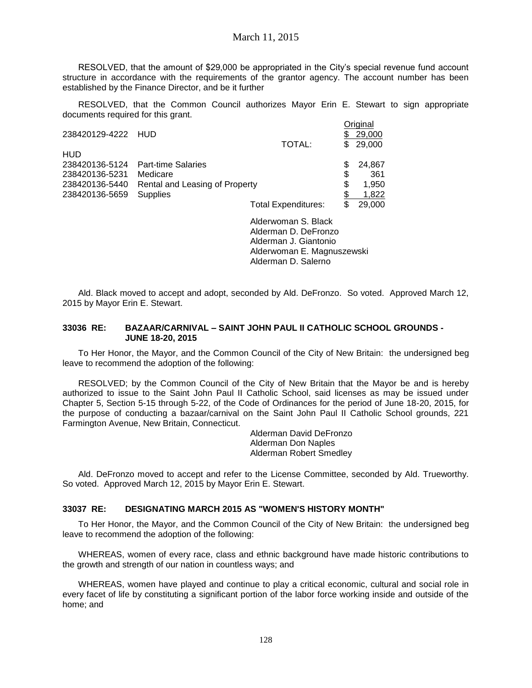RESOLVED, that the amount of \$29,000 be appropriated in the City's special revenue fund account structure in accordance with the requirements of the grantor agency. The account number has been established by the Finance Director, and be it further

RESOLVED, that the Common Council authorizes Mayor Erin E. Stewart to sign appropriate documents required for this grant.

|                    |                                   |                            |   | Original |
|--------------------|-----------------------------------|----------------------------|---|----------|
| 238420129-4222 HUD |                                   |                            |   | 29,000   |
|                    |                                   | TOTAL:                     |   | \$29,000 |
| <b>HUD</b>         |                                   |                            |   |          |
|                    | 238420136-5124 Part-time Salaries |                            |   | 24,867   |
| 238420136-5231     | Medicare                          |                            | S | 361      |
| 238420136-5440     | Rental and Leasing of Property    |                            | S | 1.950    |
| 238420136-5659     | <b>Supplies</b>                   |                            |   | 1.822    |
|                    |                                   | <b>Total Expenditures:</b> |   | 29,000   |

Alderwoman S. Black Alderman D. DeFronzo Alderman J. Giantonio Alderwoman E. Magnuszewski Alderman D. Salerno

Ald. Black moved to accept and adopt, seconded by Ald. DeFronzo. So voted. Approved March 12, 2015 by Mayor Erin E. Stewart.

#### **33036 RE: BAZAAR/CARNIVAL – SAINT JOHN PAUL II CATHOLIC SCHOOL GROUNDS - JUNE 18-20, 2015**

To Her Honor, the Mayor, and the Common Council of the City of New Britain: the undersigned beg leave to recommend the adoption of the following:

RESOLVED; by the Common Council of the City of New Britain that the Mayor be and is hereby authorized to issue to the Saint John Paul II Catholic School, said licenses as may be issued under Chapter 5, Section 5-15 through 5-22, of the Code of Ordinances for the period of June 18-20, 2015, for the purpose of conducting a bazaar/carnival on the Saint John Paul II Catholic School grounds, 221 Farmington Avenue, New Britain, Connecticut.

> Alderman David DeFronzo Alderman Don Naples Alderman Robert Smedley

Ald. DeFronzo moved to accept and refer to the License Committee, seconded by Ald. Trueworthy. So voted. Approved March 12, 2015 by Mayor Erin E. Stewart.

#### **33037 RE: DESIGNATING MARCH 2015 AS "WOMEN'S HISTORY MONTH"**

To Her Honor, the Mayor, and the Common Council of the City of New Britain: the undersigned beg leave to recommend the adoption of the following:

WHEREAS, women of every race, class and ethnic background have made historic contributions to the growth and strength of our nation in countless ways; and

WHEREAS, women have played and continue to play a critical economic, cultural and social role in every facet of life by constituting a significant portion of the labor force working inside and outside of the home; and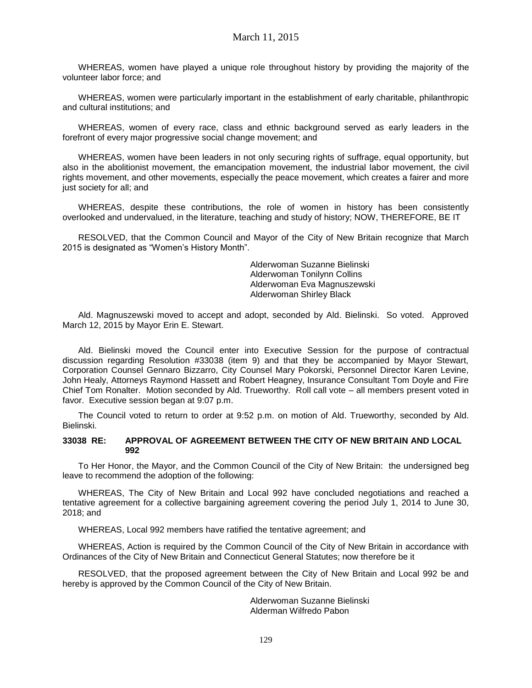WHEREAS, women have played a unique role throughout history by providing the majority of the volunteer labor force; and

WHEREAS, women were particularly important in the establishment of early charitable, philanthropic and cultural institutions; and

WHEREAS, women of every race, class and ethnic background served as early leaders in the forefront of every major progressive social change movement; and

WHEREAS, women have been leaders in not only securing rights of suffrage, equal opportunity, but also in the abolitionist movement, the emancipation movement, the industrial labor movement, the civil rights movement, and other movements, especially the peace movement, which creates a fairer and more just society for all; and

WHEREAS, despite these contributions, the role of women in history has been consistently overlooked and undervalued, in the literature, teaching and study of history; NOW, THEREFORE, BE IT

RESOLVED, that the Common Council and Mayor of the City of New Britain recognize that March 2015 is designated as "Women's History Month".

> Alderwoman Suzanne Bielinski Alderwoman Tonilynn Collins Alderwoman Eva Magnuszewski Alderwoman Shirley Black

Ald. Magnuszewski moved to accept and adopt, seconded by Ald. Bielinski. So voted. Approved March 12, 2015 by Mayor Erin E. Stewart.

Ald. Bielinski moved the Council enter into Executive Session for the purpose of contractual discussion regarding Resolution #33038 (item 9) and that they be accompanied by Mayor Stewart, Corporation Counsel Gennaro Bizzarro, City Counsel Mary Pokorski, Personnel Director Karen Levine, John Healy, Attorneys Raymond Hassett and Robert Heagney, Insurance Consultant Tom Doyle and Fire Chief Tom Ronalter. Motion seconded by Ald. Trueworthy. Roll call vote – all members present voted in favor. Executive session began at 9:07 p.m.

The Council voted to return to order at 9:52 p.m. on motion of Ald. Trueworthy, seconded by Ald. Bielinski.

#### **33038 RE: APPROVAL OF AGREEMENT BETWEEN THE CITY OF NEW BRITAIN AND LOCAL 992**

To Her Honor, the Mayor, and the Common Council of the City of New Britain: the undersigned beg leave to recommend the adoption of the following:

WHEREAS, The City of New Britain and Local 992 have concluded negotiations and reached a tentative agreement for a collective bargaining agreement covering the period July 1, 2014 to June 30, 2018; and

WHEREAS, Local 992 members have ratified the tentative agreement; and

WHEREAS, Action is required by the Common Council of the City of New Britain in accordance with Ordinances of the City of New Britain and Connecticut General Statutes; now therefore be it

RESOLVED, that the proposed agreement between the City of New Britain and Local 992 be and hereby is approved by the Common Council of the City of New Britain.

> Alderwoman Suzanne Bielinski Alderman Wilfredo Pabon